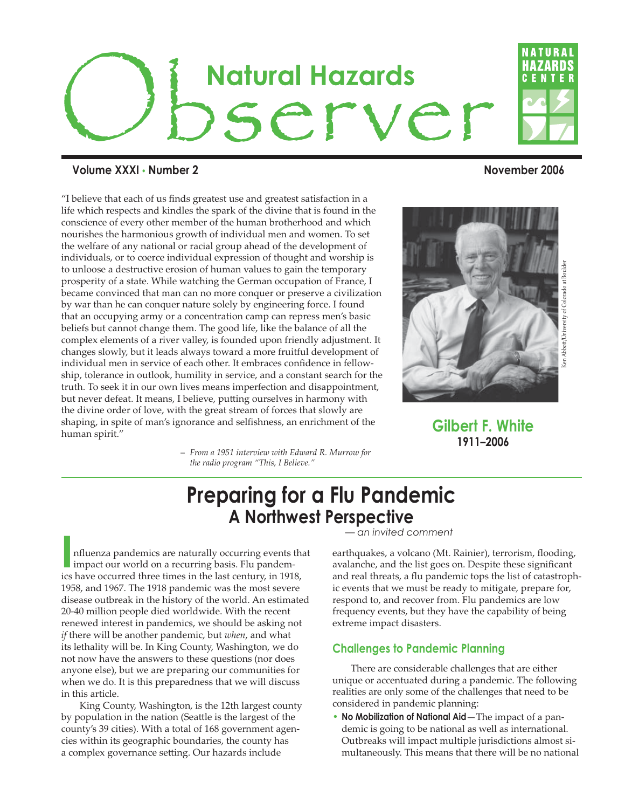

# **Volume XXXI** • **Number 2 November 2006**

"I believe that each of us finds greatest use and greatest satisfaction in a life which respects and kindles the spark of the divine that is found in the conscience of every other member of the human brotherhood and which nourishes the harmonious growth of individual men and women. To set the welfare of any national or racial group ahead of the development of individuals, or to coerce individual expression of thought and worship is to unloose a destructive erosion of human values to gain the temporary prosperity of a state. While watching the German occupation of France, I became convinced that man can no more conquer or preserve a civilization by war than he can conquer nature solely by engineering force. I found that an occupying army or a concentration camp can repress men's basic beliefs but cannot change them. The good life, like the balance of all the complex elements of a river valley, is founded upon friendly adjustment. It changes slowly, but it leads always toward a more fruitful development of individual men in service of each other. It embraces confidence in fellowship, tolerance in outlook, humility in service, and a constant search for the truth. To seek it in our own lives means imperfection and disappointment, but never defeat. It means, I believe, putting ourselves in harmony with the divine order of love, with the great stream of forces that slowly are shaping, in spite of man's ignorance and selfishness, an enrichment of the human spirit."

> *From a 1951 interview with Edward R. Murrow for*  ‒ *the radio program "This, I Believe."*

**Gilbert F. White 1911–2006**

# **Preparing for a Flu Pandemic A Northwest Perspective**

nfluenza pandemics are naturally occurring events that impact our world on a recurring basis. Flu pandemics have occurred three times in the last century, in 1918, 1958, and 1967. The 1918 pandemic was the most severe disease outbreak in the history of the world. An estimated 20-40 million people died worldwide. With the recent renewed interest in pandemics, we should be asking not *if* there will be another pandemic, but *when*, and what its lethality will be. In King County, Washington, we do not now have the answers to these questions (nor does anyone else), but we are preparing our communities for when we do. It is this preparedness that we will discuss in this article.

King County, Washington, is the 12th largest county by population in the nation (Seattle is the largest of the county's 39 cities). With a total of 168 government agencies within its geographic boundaries, the county has a complex governance setting. Our hazards include

— *an invited comment*

earthquakes, a volcano (Mt. Rainier), terrorism, flooding, avalanche, and the list goes on. Despite these significant and real threats, a flu pandemic tops the list of catastrophic events that we must be ready to mitigate, prepare for, respond to, and recover from. Flu pandemics are low frequency events, but they have the capability of being extreme impact disasters.

# **Challenges to Pandemic Planning**

There are considerable challenges that are either unique or accentuated during a pandemic. The following realities are only some of the challenges that need to be considered in pandemic planning:

• No Mobilization of National Aid—The impact of a pandemic is going to be national as well as international. Outbreaks will impact multiple jurisdictions almost simultaneously. This means that there will be no national

Ken Abbott

/University of Colorado at Boulder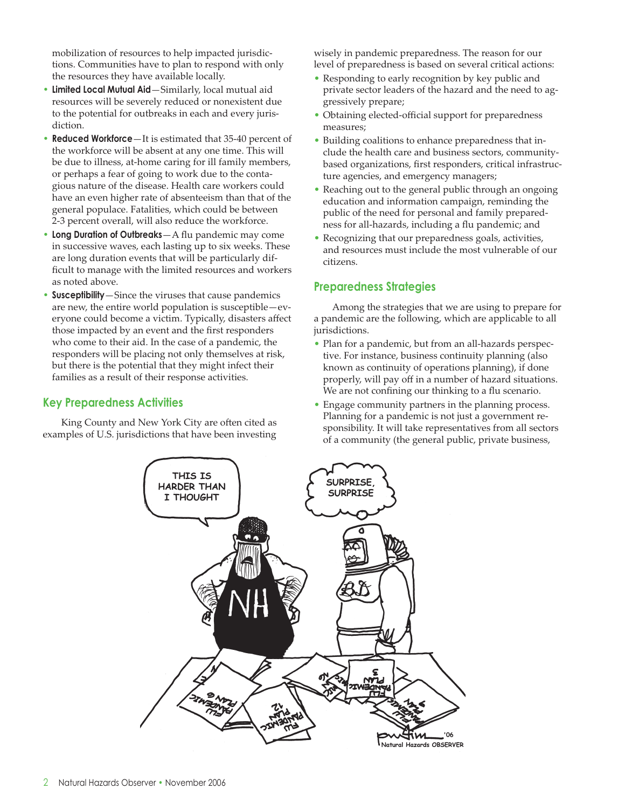mobilization of resources to help impacted jurisdictions. Communities have to plan to respond with only the resources they have available locally.

- **Limited Local Mutual Aid**—Similarly, local mutual aid **•** resources will be severely reduced or nonexistent due to the potential for outbreaks in each and every jurisdiction.
- **Reduced Workforce**—It is estimated that 35-40 percent of the workforce will be absent at any one time. This will be due to illness, at-home caring for ill family members, or perhaps a fear of going to work due to the contagious nature of the disease. Health care workers could have an even higher rate of absenteeism than that of the general populace. Fatalities, which could be between 2-3 percent overall, will also reduce the workforce. **•**
- Long Duration of Outbreaks A flu pandemic may come in successive waves, each lasting up to six weeks. These are long duration events that will be particularly difficult to manage with the limited resources and workers as noted above.
- **Susceptibility**—Since the viruses that cause pandemics **•** are new, the entire world population is susceptible—everyone could become a victim. Typically, disasters affect those impacted by an event and the first responders who come to their aid. In the case of a pandemic, the responders will be placing not only themselves at risk, but there is the potential that they might infect their families as a result of their response activities.

# **Key Preparedness Activities**

King County and New York City are often cited as examples of U.S. jurisdictions that have been investing

wisely in pandemic preparedness. The reason for our level of preparedness is based on several critical actions:

- Responding to early recognition by key public and private sector leaders of the hazard and the need to aggressively prepare;
- Obtaining elected-official support for preparedness measures;
- Building coalitions to enhance preparedness that include the health care and business sectors, communitybased organizations, first responders, critical infrastructure agencies, and emergency managers; •
- Reaching out to the general public through an ongoing education and information campaign, reminding the public of the need for personal and family preparedness for all-hazards, including a flu pandemic; and
- Recognizing that our preparedness goals, activities, and resources must include the most vulnerable of our citizens. •

# **Preparedness Strategies**

Among the strategies that we are using to prepare for a pandemic are the following, which are applicable to all jurisdictions.

- Plan for a pandemic, but from an all-hazards perspective. For instance, business continuity planning (also known as continuity of operations planning), if done properly, will pay off in a number of hazard situations. We are not confining our thinking to a flu scenario.
- Engage community partners in the planning process. •Planning for a pandemic is not just a government responsibility. It will take representatives from all sectors of a community (the general public, private business,

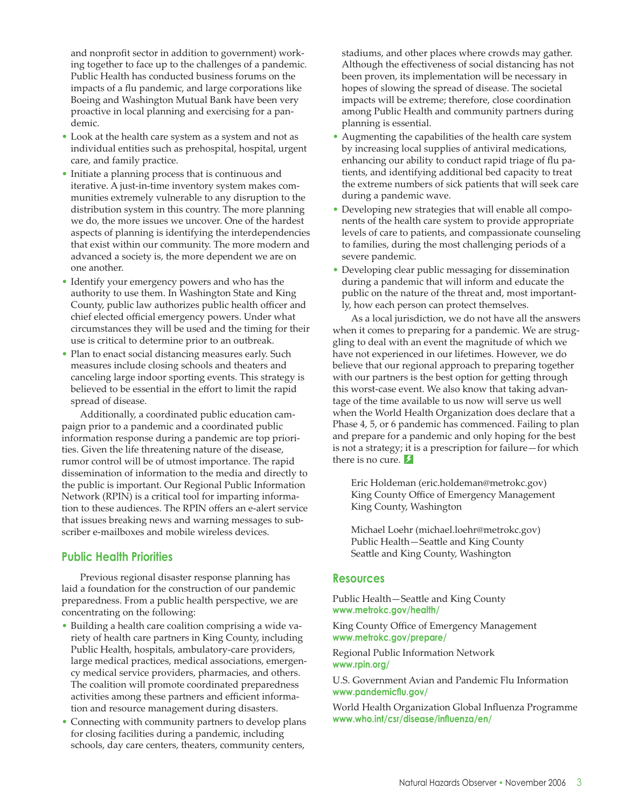and nonprofit sector in addition to government) working together to face up to the challenges of a pandemic. Public Health has conducted business forums on the impacts of a flu pandemic, and large corporations like Boeing and Washington Mutual Bank have been very proactive in local planning and exercising for a pandemic.

- Look at the health care system as a system and not as individual entities such as prehospital, hospital, urgent care, and family practice.
- Initiate a planning process that is continuous and iterative. A just-in-time inventory system makes communities extremely vulnerable to any disruption to the distribution system in this country. The more planning we do, the more issues we uncover. One of the hardest aspects of planning is identifying the interdependencies that exist within our community. The more modern and advanced a society is, the more dependent we are on one another.
- Identify your emergency powers and who has the authority to use them. In Washington State and King County, public law authorizes public health officer and chief elected official emergency powers. Under what circumstances they will be used and the timing for their use is critical to determine prior to an outbreak.
- Plan to enact social distancing measures early. Such measures include closing schools and theaters and canceling large indoor sporting events. This strategy is believed to be essential in the effort to limit the rapid spread of disease.

Additionally, a coordinated public education campaign prior to a pandemic and a coordinated public information response during a pandemic are top priorities. Given the life threatening nature of the disease, rumor control will be of utmost importance. The rapid dissemination of information to the media and directly to the public is important. Our Regional Public Information Network (RPIN) is a critical tool for imparting information to these audiences. The RPIN offers an e-alert service that issues breaking news and warning messages to subscriber e-mailboxes and mobile wireless devices.

# **Public Health Priorities**

Previous regional disaster response planning has laid a foundation for the construction of our pandemic preparedness. From a public health perspective, we are concentrating on the following:

- Building a health care coalition comprising a wide variety of health care partners in King County, including Public Health, hospitals, ambulatory-care providers, large medical practices, medical associations, emergency medical service providers, pharmacies, and others. The coalition will promote coordinated preparedness activities among these partners and efficient information and resource management during disasters.
- Connecting with community partners to develop plans for closing facilities during a pandemic, including schools, day care centers, theaters, community centers,

stadiums, and other places where crowds may gather. Although the effectiveness of social distancing has not been proven, its implementation will be necessary in hopes of slowing the spread of disease. The societal impacts will be extreme; therefore, close coordination among Public Health and community partners during planning is essential.

- Augmenting the capabilities of the health care system by increasing local supplies of antiviral medications, enhancing our ability to conduct rapid triage of flu patients, and identifying additional bed capacity to treat the extreme numbers of sick patients that will seek care during a pandemic wave.
- Developing new strategies that will enable all components of the health care system to provide appropriate levels of care to patients, and compassionate counseling to families, during the most challenging periods of a severe pandemic.
- Developing clear public messaging for dissemination •during a pandemic that will inform and educate the public on the nature of the threat and, most importantly, how each person can protect themselves.

As a local jurisdiction, we do not have all the answers when it comes to preparing for a pandemic. We are struggling to deal with an event the magnitude of which we have not experienced in our lifetimes. However, we do believe that our regional approach to preparing together with our partners is the best option for getting through this worst-case event. We also know that taking advantage of the time available to us now will serve us well when the World Health Organization does declare that a Phase 4, 5, or 6 pandemic has commenced. Failing to plan and prepare for a pandemic and only hoping for the best is not a strategy; it is a prescription for failure—for which there is no cure.  $\blacktriangleright$ 

Eric Holdeman (eric.holdeman@metrokc.gov) King County Office of Emergency Management King County, Washington

Michael Loehr (michael.loehr@metrokc.gov) Public Health—Seattle and King County Seattle and King County, Washington

# **Resources**

Public Health—Seattle and King County **www.metrokc.gov/health/**

King County Office of Emergency Management **www.metrokc.gov/prepare/**

Regional Public Information Network **www.rpin.org/**

U.S. Government Avian and Pandemic Flu Information **www.pandemicfl u.gov/**

World Health Organization Global Influenza Programme **www.who.int/csr/disease/infl uenza/en/**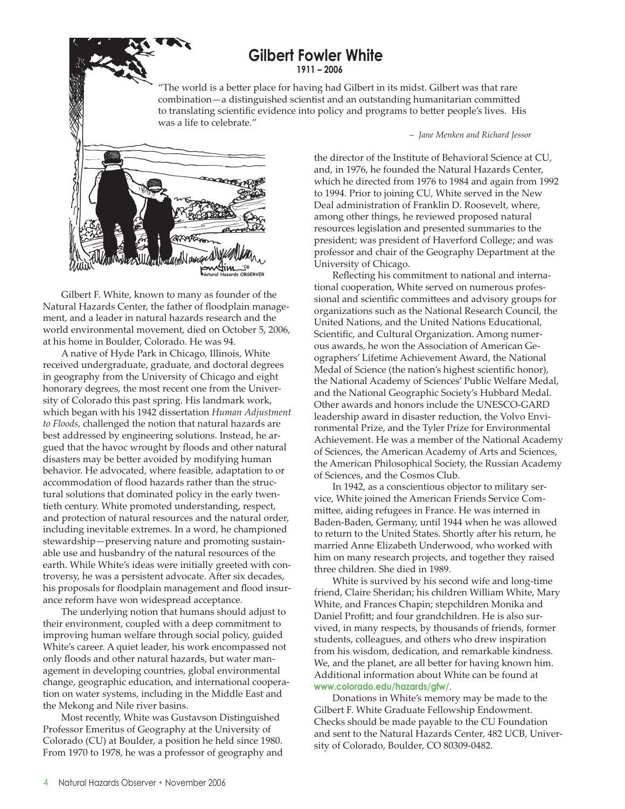# **Gilbert Fowler White**

 **1911 – 2006**

 $\,$ The world is a better place for having had Gilbert in its midst. Gilbert was that rare combination—a distinguished scientist and an outstanding humanitarian committed to translating scientific evidence into policy and programs to better people's lives. His was a life to celebrate."



Gilbert F. White, known to many as founder of the Natural Hazards Center, the father of floodplain management, and a leader in natural hazards research and the world environmental movement, died on October 5, 2006, at his home in Boulder, Colorado. He was 94.

A native of Hyde Park in Chicago, Illinois, White received undergraduate, graduate, and doctoral degrees in geography from the University of Chicago and eight honorary degrees, the most recent one from the University of Colorado this past spring. His landmark work, which began with his 1942 dissertation *Human Adjustment to Floods*, challenged the notion that natural hazards are best addressed by engineering solutions. Instead, he argued that the havoc wrought by floods and other natural disasters may be better avoided by modifying human behavior. He advocated, where feasible, adaptation to or accommodation of flood hazards rather than the structural solutions that dominated policy in the early twentieth century. White promoted understanding, respect, and protection of natural resources and the natural order, including inevitable extremes. In a word, he championed stewardship—preserving nature and promoting sustainable use and husbandry of the natural resources of the earth. While White's ideas were initially greeted with controversy, he was a persistent advocate. After six decades, his proposals for floodplain management and flood insurance reform have won widespread acceptance.

The underlying notion that humans should adjust to their environment, coupled with a deep commitment to improving human welfare through social policy, guided White's career. A quiet leader, his work encompassed not only floods and other natural hazards, but water management in developing countries, global environmental change, geographic education, and international cooperation on water systems, including in the Middle East and the Mekong and Nile river basins.

Most recently, White was Gustavson Distinguished Professor Emeritus of Geography at the University of Colorado (CU) at Boulder, a position he held since 1980. From 1970 to 1978, he was a professor of geography and

#### ‒ *Jane Menken and Richard Jessor*

the director of the Institute of Behavioral Science at CU, and, in 1976, he founded the Natural Hazards Center, which he directed from 1976 to 1984 and again from 1992 to 1994. Prior to joining CU, White served in the New Deal administration of Franklin D. Roosevelt, where, among other things, he reviewed proposed natural resources legislation and presented summaries to the president; was president of Haverford College; and was professor and chair of the Geography Department at the University of Chicago.

Reflecting his commitment to national and international cooperation, White served on numerous professional and scientific committees and advisory groups for organizations such as the National Research Council, the United Nations, and the United Nations Educational, Scientific, and Cultural Organization. Among numerous awards, he won the Association of American Geographers' Lifetime Achievement Award, the National Medal of Science (the nation's highest scientific honor), the National Academy of Sciences' Public Welfare Medal, and the National Geographic Society's Hubbard Medal. Other awards and honors include the UNESCO-GARD leadership award in disaster reduction, the Volvo Environmental Prize, and the Tyler Prize for Environmental Achievement. He was a member of the National Academy of Sciences, the American Academy of Arts and Sciences, the American Philosophical Society, the Russian Academy of Sciences, and the Cosmos Club.

In 1942, as a conscientious objector to military service, White joined the American Friends Service Committee, aiding refugees in France. He was interned in Baden-Baden, Germany, until 1944 when he was allowed to return to the United States. Shortly after his return, he married Anne Elizabeth Underwood, who worked with him on many research projects, and together they raised three children. She died in 1989.

White is survived by his second wife and long-time friend, Claire Sheridan; his children William White, Mary White, and Frances Chapin; stepchildren Monika and Daniel Profitt; and four grandchildren. He is also survived, in many respects, by thousands of friends, former students, colleagues, and others who drew inspiration from his wisdom, dedication, and remarkable kindness. We, and the planet, are all better for having known him. Additional information about White can be found at **www.colorado.edu/hazards/gfw/**.

Donations in White's memory may be made to the Gilbert F. White Graduate Fellowship Endowment. Checks should be made payable to the CU Foundation and sent to the Natural Hazards Center, 482 UCB, University of Colorado, Boulder, CO 80309-0482.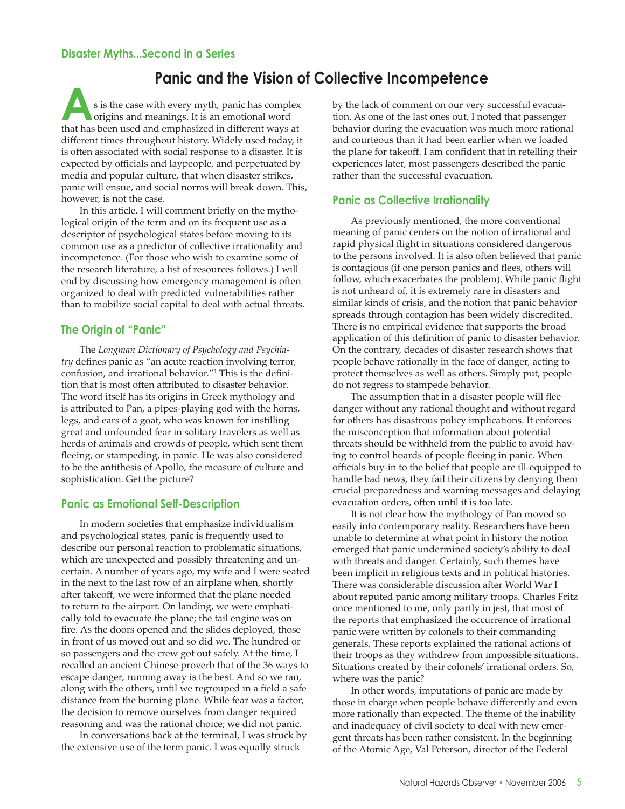# **Panic and the Vision of Collective Incompetence**

s is the case with every myth, panic has complex origins and meanings. It is an emotional word that has been used and emphasized in different ways at different times throughout history. Widely used today, it is often associated with social response to a disaster. It is expected by officials and laypeople, and perpetuated by media and popular culture, that when disaster strikes, panic will ensue, and social norms will break down. This, however, is not the case.

In this article, I will comment briefly on the mythological origin of the term and on its frequent use as a descriptor of psychological states before moving to its common use as a predictor of collective irrationality and incompetence. (For those who wish to examine some of the research literature, a list of resources follows.) I will end by discussing how emergency management is often organized to deal with predicted vulnerabilities rather than to mobilize social capital to deal with actual threats.

# **The Origin of "Panic"**

The *Longman Dictionary of Psychology and Psychiatry* defines panic as "an acute reaction involving terror, confusion, and irrational behavior."<sup>1</sup> This is the definition that is most often attributed to disaster behavior. The word itself has its origins in Greek mythology and is attributed to Pan, a pipes-playing god with the horns, legs, and ears of a goat, who was known for instilling great and unfounded fear in solitary travelers as well as herds of animals and crowds of people, which sent them fleeing, or stampeding, in panic. He was also considered to be the antithesis of Apollo, the measure of culture and sophistication. Get the picture?

# **Panic as Emotional Self-Description**

In modern societies that emphasize individualism and psychological states, panic is frequently used to describe our personal reaction to problematic situations, which are unexpected and possibly threatening and uncertain. A number of years ago, my wife and I were seated in the next to the last row of an airplane when, shortly after takeoff, we were informed that the plane needed to return to the airport. On landing, we were emphatically told to evacuate the plane; the tail engine was on fire. As the doors opened and the slides deployed, those in front of us moved out and so did we. The hundred or so passengers and the crew got out safely. At the time, I recalled an ancient Chinese proverb that of the 36 ways to escape danger, running away is the best. And so we ran, along with the others, until we regrouped in a field a safe distance from the burning plane. While fear was a factor, the decision to remove ourselves from danger required reasoning and was the rational choice; we did not panic.

In conversations back at the terminal, I was struck by the extensive use of the term panic. I was equally struck

by the lack of comment on our very successful evacuation. As one of the last ones out, I noted that passenger behavior during the evacuation was much more rational and courteous than it had been earlier when we loaded the plane for takeoff. I am confident that in retelling their experiences later, most passengers described the panic rather than the successful evacuation.

# **Panic as Collective Irrationality**

As previously mentioned, the more conventional meaning of panic centers on the notion of irrational and rapid physical flight in situations considered dangerous to the persons involved. It is also often believed that panic is contagious (if one person panics and flees, others will follow, which exacerbates the problem). While panic flight is not unheard of, it is extremely rare in disasters and similar kinds of crisis, and the notion that panic behavior spreads through contagion has been widely discredited. There is no empirical evidence that supports the broad application of this definition of panic to disaster behavior. On the contrary, decades of disaster research shows that people behave rationally in the face of danger, acting to protect themselves as well as others. Simply put, people do not regress to stampede behavior.

The assumption that in a disaster people will flee danger without any rational thought and without regard for others has disastrous policy implications. It enforces the misconception that information about potential threats should be withheld from the public to avoid having to control hoards of people fleeing in panic. When officials buy-in to the belief that people are ill-equipped to handle bad news, they fail their citizens by denying them crucial preparedness and warning messages and delaying evacuation orders, often until it is too late.

It is not clear how the mythology of Pan moved so easily into contemporary reality. Researchers have been unable to determine at what point in history the notion emerged that panic undermined society's ability to deal with threats and danger. Certainly, such themes have been implicit in religious texts and in political histories. There was considerable discussion after World War I about reputed panic among military troops. Charles Fritz once mentioned to me, only partly in jest, that most of the reports that emphasized the occurrence of irrational panic were written by colonels to their commanding generals. These reports explained the rational actions of their troops as they withdrew from impossible situations. Situations created by their colonels' irrational orders. So, where was the panic?

In other words, imputations of panic are made by those in charge when people behave differently and even more rationally than expected. The theme of the inability and inadequacy of civil society to deal with new emergent threats has been rather consistent. In the beginning of the Atomic Age, Val Peterson, director of the Federal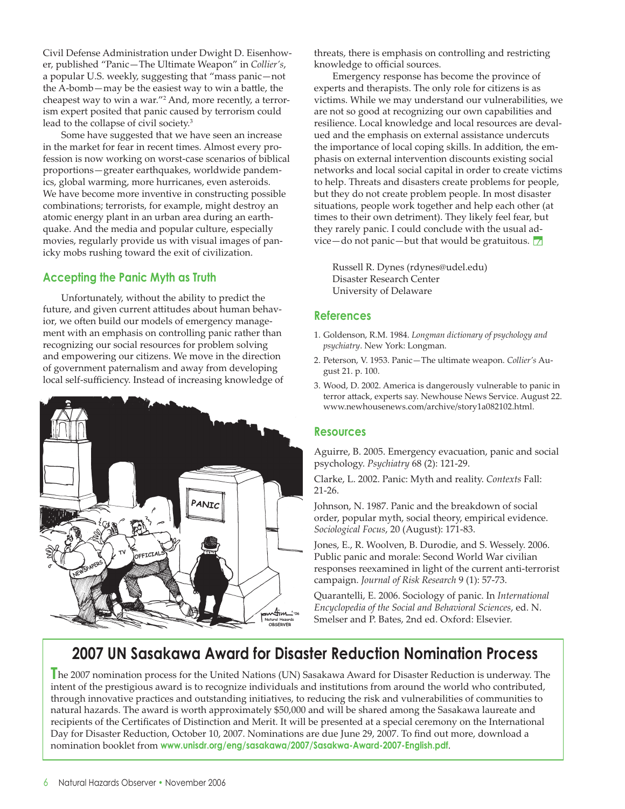Civil Defense Administration under Dwight D. Eisenhower, published "Panic—The Ultimate Weapon" in *Collier's*, a popular U.S. weekly, suggesting that "mass panic—not the A-bomb—may be the easiest way to win a battle, the cheapest way to win a war."2 And, more recently, a terrorism expert posited that panic caused by terrorism could lead to the collapse of civil society.3

Some have suggested that we have seen an increase in the market for fear in recent times. Almost every profession is now working on worst-case scenarios of biblical proportions—greater earthquakes, worldwide pandemics, global warming, more hurricanes, even asteroids. We have become more inventive in constructing possible combinations; terrorists, for example, might destroy an atomic energy plant in an urban area during an earthquake. And the media and popular culture, especially movies, regularly provide us with visual images of panicky mobs rushing toward the exit of civilization.

# **Accepting the Panic Myth as Truth**

Unfortunately, without the ability to predict the future, and given current attitudes about human behavior, we often build our models of emergency management with an emphasis on controlling panic rather than recognizing our social resources for problem solving and empowering our citizens. We move in the direction of government paternalism and away from developing local self-sufficiency. Instead of increasing knowledge of



threats, there is emphasis on controlling and restricting knowledge to official sources.

Emergency response has become the province of experts and therapists. The only role for citizens is as victims. While we may understand our vulnerabilities, we are not so good at recognizing our own capabilities and resilience. Local knowledge and local resources are devalued and the emphasis on external assistance undercuts the importance of local coping skills. In addition, the emphasis on external intervention discounts existing social networks and local social capital in order to create victims to help. Threats and disasters create problems for people, but they do not create problem people. In most disaster situations, people work together and help each other (at times to their own detriment). They likely feel fear, but they rarely panic. I could conclude with the usual advice—do not panic—but that would be gratuitous.  $\boxed{7}$ 

Russell R. Dynes (rdynes@udel.edu) Disaster Research Center University of Delaware

# **References**

- Goldenson, R.M. 1984. *Longman dictionary of psychology and*  1. *psychiatry*. New York: Longman.
- Peterson, V. 1953. Panic—The ultimate weapon. *Collier's* Au-2. gust 21. p. 100.
- Wood, D. 2002. America is dangerously vulnerable to panic in 3. terror attack, experts say. Newhouse News Service. August 22. www.newhousenews.com/archive/story1a082102.html.

# **Resources**

Aguirre, B. 2005. Emergency evacuation, panic and social psychology. *Psychiatry* 68 (2): 121-29.

Clarke, L. 2002. Panic: Myth and reality. *Contexts* Fall: 21-26.

Johnson, N. 1987. Panic and the breakdown of social order, popular myth, social theory, empirical evidence. *Sociological Focus*, 20 (August): 171-83.

Jones, E., R. Woolven, B. Durodie, and S. Wessely. 2006. Public panic and morale: Second World War civilian responses reexamined in light of the current anti-terrorist campaign. *Journal of Risk Research* 9 (1): 57-73.

Quarantelli, E. 2006. Sociology of panic. In *International Encyclopedia of the Social and Behavioral Sciences*, ed. N. Smelser and P. Bates, 2nd ed. Oxford: Elsevier.

# **2007 UN Sasakawa Award for Disaster Reduction Nomination Process**

**T**he 2007 nomination process for the United Nations (UN) Sasakawa Award for Disaster Reduction is underway. The intent of the prestigious award is to recognize individuals and institutions from around the world who contributed, through innovative practices and outstanding initiatives, to reducing the risk and vulnerabilities of communities to natural hazards. The award is worth approximately \$50,000 and will be shared among the Sasakawa laureate and recipients of the Certificates of Distinction and Merit. It will be presented at a special ceremony on the International Day for Disaster Reduction, October 10, 2007. Nominations are due June 29, 2007. To find out more, download a nomination booklet from **www.unisdr.org/eng/sasakawa/2007/Sasakwa-Award-2007-English.pdf**.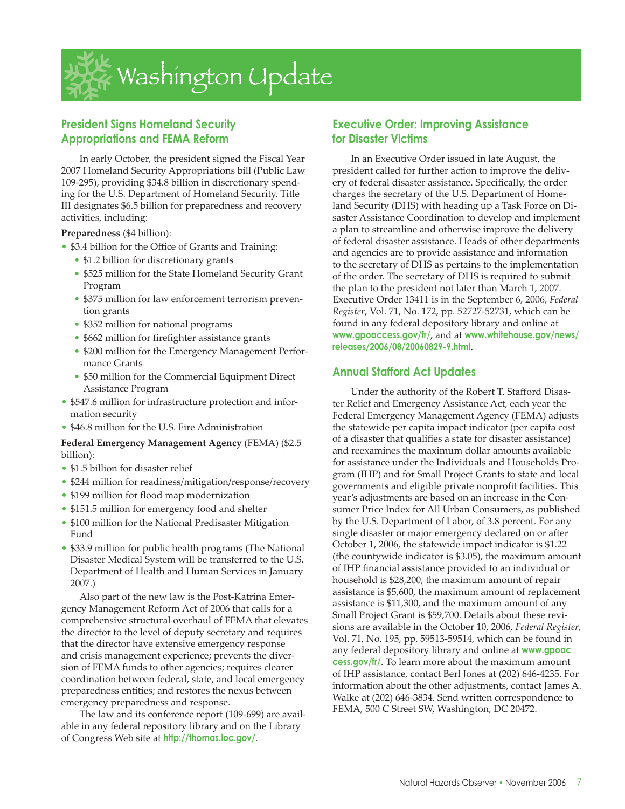

# **President Signs Homeland Security Appropriations and FEMA Reform**

In early October, the president signed the Fiscal Year 2007 Homeland Security Appropriations bill (Public Law 109-295), providing \$34.8 billion in discretionary spending for the U.S. Department of Homeland Security. Title III designates \$6.5 billion for preparedness and recovery activities, including:

**Preparedness** (\$4 billion):

- \$3.4 billion for the Office of Grants and Training:
	- \$1.2 billion for discretionary grants
	- \$525 million for the State Homeland Security Grant Program
	- \$375 million for law enforcement terrorism prevention grants
	- \$352 million for national programs
	- \$662 million for firefighter assistance grants
	- \$200 million for the Emergency Management Performance Grants
	- \$50 million for the Commercial Equipment Direct Assistance Program
- \$547.6 million for infrastructure protection and information security
- \$46.8 million for the U.S. Fire Administration

#### **Federal Emergency Management Agency** (FEMA) (\$2.5 billion):

- \$1.5 billion for disaster relief
- \$244 million for readiness/mitigation/response/recovery
- \$199 million for flood map modernization
- \$151.5 million for emergency food and shelter
- \$100 million for the National Predisaster Mitigation Fund
- \$33.9 million for public health programs (The National Disaster Medical System will be transferred to the U.S. Department of Health and Human Services in January 2007.)

Also part of the new law is the Post-Katrina Emergency Management Reform Act of 2006 that calls for a comprehensive structural overhaul of FEMA that elevates the director to the level of deputy secretary and requires that the director have extensive emergency response and crisis management experience; prevents the diversion of FEMA funds to other agencies; requires clearer coordination between federal, state, and local emergency preparedness entities; and restores the nexus between emergency preparedness and response.

The law and its conference report (109-699) are available in any federal repository library and on the Library of Congress Web site at **http://thomas.loc.gov/**.

# **Executive Order: Improving Assistance for Disaster Victims**

In an Executive Order issued in late August, the president called for further action to improve the delivery of federal disaster assistance. Specifically, the order charges the secretary of the U.S. Department of Homeland Security (DHS) with heading up a Task Force on Disaster Assistance Coordination to develop and implement a plan to streamline and otherwise improve the delivery of federal disaster assistance. Heads of other departments and agencies are to provide assistance and information to the secretary of DHS as pertains to the implementation of the order. The secretary of DHS is required to submit the plan to the president not later than March 1, 2007. Executive Order 13411 is in the September 6, 2006, *Federal Register*, Vol. 71, No. 172, pp. 52727-52731, which can be found in any federal depository library and online at **www.gpoaccess.gov/fr/**, and at **www.whitehouse.gov/news/ releases/2006/08/20060829-9.html**.

# **Annual Stafford Act Updates**

Under the authority of the Robert T. Stafford Disaster Relief and Emergency Assistance Act, each year the Federal Emergency Management Agency (FEMA) adjusts the statewide per capita impact indicator (per capita cost of a disaster that qualifies a state for disaster assistance) and reexamines the maximum dollar amounts available for assistance under the Individuals and Households Program (IHP) and for Small Project Grants to state and local governments and eligible private nonprofit facilities. This year's adjustments are based on an increase in the Consumer Price Index for All Urban Consumers, as published by the U.S. Department of Labor, of 3.8 percent. For any single disaster or major emergency declared on or after October 1, 2006, the statewide impact indicator is \$1.22 (the countywide indicator is \$3.05), the maximum amount of IHP financial assistance provided to an individual or household is \$28,200, the maximum amount of repair assistance is \$5,600, the maximum amount of replacement assistance is \$11,300, and the maximum amount of any Small Project Grant is \$59,700. Details about these revisions are available in the October 10, 2006, *Federal Register*, Vol. 71, No. 195, pp. 59513-59514, which can be found in any federal depository library and online at **www.gpoac cess.gov/fr/**. To learn more about the maximum amount of IHP assistance, contact Berl Jones at (202) 646-4235. For information about the other adjustments, contact James A. Walke at (202) 646-3834. Send written correspondence to FEMA, 500 C Street SW, Washington, DC 20472.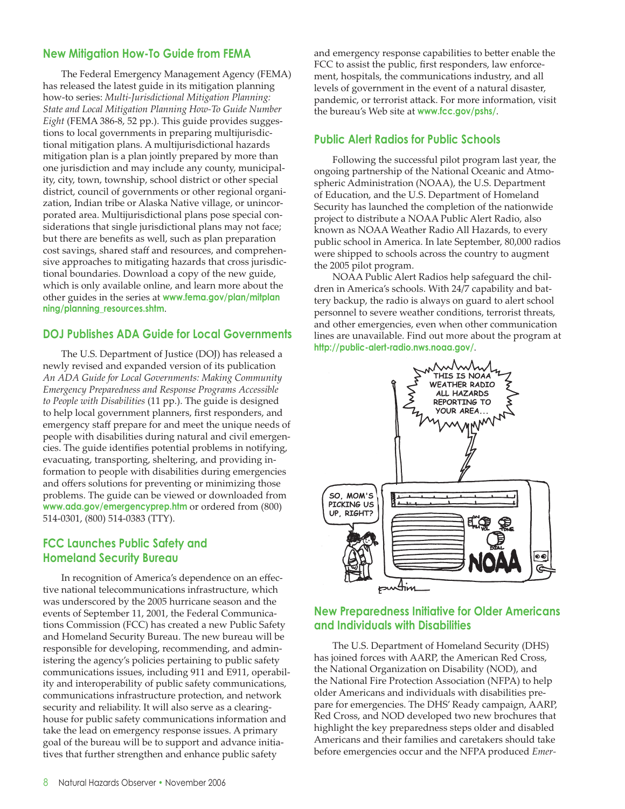# **New Mitigation How-To Guide from FEMA**

The Federal Emergency Management Agency (FEMA) has released the latest guide in its mitigation planning how-to series: *Multi-Jurisdictional Mitigation Planning: State and Local Mitigation Planning How-To Guide Number Eight* (FEMA 386-8, 52 pp.). This guide provides suggestions to local governments in preparing multijurisdictional mitigation plans. A multijurisdictional hazards mitigation plan is a plan jointly prepared by more than one jurisdiction and may include any county, municipality, city, town, township, school district or other special district, council of governments or other regional organization, Indian tribe or Alaska Native village, or unincorporated area. Multijurisdictional plans pose special considerations that single jurisdictional plans may not face; but there are benefits as well, such as plan preparation cost savings, shared staff and resources, and comprehensive approaches to mitigating hazards that cross jurisdictional boundaries. Download a copy of the new guide, which is only available online, and learn more about the other guides in the series at **www.fema.gov/plan/mitplan ning/planning\_resources.shtm**.

# **DOJ Publishes ADA Guide for Local Governments**

The U.S. Department of Justice (DOJ) has released a newly revised and expanded version of its publication *An ADA Guide for Local Governments: Making Community Emergency Preparedness and Response Programs Accessible to People with Disabilities* (11 pp.). The guide is designed to help local government planners, first responders, and emergency staff prepare for and meet the unique needs of people with disabilities during natural and civil emergencies. The guide identifies potential problems in notifying, evacuating, transporting, sheltering, and providing information to people with disabilities during emergencies and offers solutions for preventing or minimizing those problems. The guide can be viewed or downloaded from **www.ada.gov/emergencyprep.htm** or ordered from (800) 514-0301, (800) 514-0383 (TTY).

# **FCC Launches Public Safety and Homeland Security Bureau**

In recognition of America's dependence on an effective national telecommunications infrastructure, which was underscored by the 2005 hurricane season and the events of September 11, 2001, the Federal Communications Commission (FCC) has created a new Public Safety and Homeland Security Bureau. The new bureau will be responsible for developing, recommending, and administering the agency's policies pertaining to public safety communications issues, including 911 and E911, operability and interoperability of public safety communications, communications infrastructure protection, and network security and reliability. It will also serve as a clearinghouse for public safety communications information and take the lead on emergency response issues. A primary goal of the bureau will be to support and advance initiatives that further strengthen and enhance public safety

and emergency response capabilities to better enable the FCC to assist the public, first responders, law enforcement, hospitals, the communications industry, and all levels of government in the event of a natural disaster, pandemic, or terrorist attack. For more information, visit the bureau's Web site at **www.fcc.gov/pshs/**.

# **Public Alert Radios for Public Schools**

Following the successful pilot program last year, the ongoing partnership of the National Oceanic and Atmospheric Administration (NOAA), the U.S. Department of Education, and the U.S. Department of Homeland Security has launched the completion of the nationwide project to distribute a NOAA Public Alert Radio, also known as NOAA Weather Radio All Hazards, to every public school in America. In late September, 80,000 radios were shipped to schools across the country to augment the 2005 pilot program.

NOAA Public Alert Radios help safeguard the children in America's schools. With 24/7 capability and battery backup, the radio is always on guard to alert school personnel to severe weather conditions, terrorist threats, and other emergencies, even when other communication lines are unavailable. Find out more about the program at **http://public-alert-radio.nws.noaa.gov/**.



# **New Preparedness Initiative for Older Americans and Individuals with Disabilities**

The U.S. Department of Homeland Security (DHS) has joined forces with AARP, the American Red Cross, the National Organization on Disability (NOD), and the National Fire Protection Association (NFPA) to help older Americans and individuals with disabilities prepare for emergencies. The DHS' Ready campaign, AARP, Red Cross, and NOD developed two new brochures that highlight the key preparedness steps older and disabled Americans and their families and caretakers should take before emergencies occur and the NFPA produced *Emer-*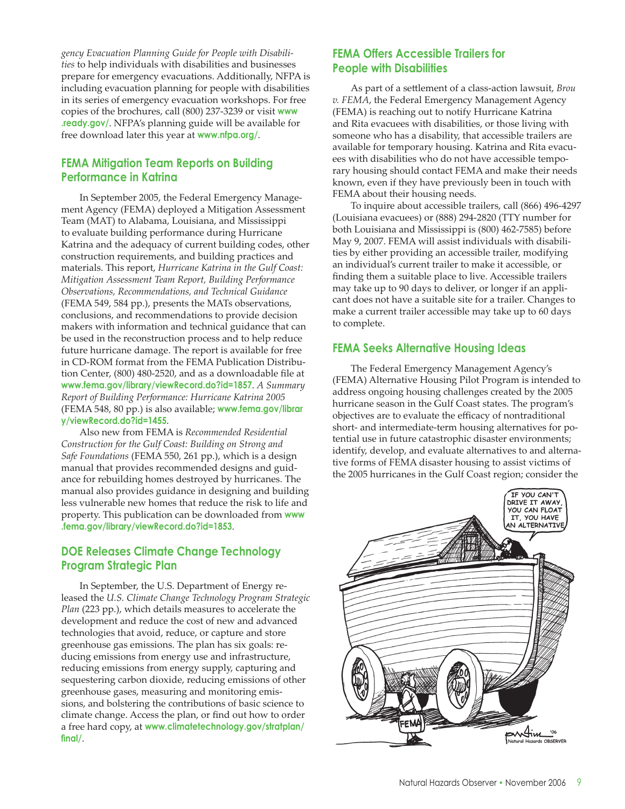*gency Evacuation Planning Guide for People with Disabilities* to help individuals with disabilities and businesses prepare for emergency evacuations. Additionally, NFPA is including evacuation planning for people with disabilities in its series of emergency evacuation workshops. For free copies of the brochures, call (800) 237-3239 or visit **www .ready.gov/**. NFPA's planning guide will be available for free download later this year at **www.nfpa.org/**.

# **FEMA Mitigation Team Reports on Building Performance in Katrina**

In September 2005, the Federal Emergency Management Agency (FEMA) deployed a Mitigation Assessment Team (MAT) to Alabama, Louisiana, and Mississippi to evaluate building performance during Hurricane Katrina and the adequacy of current building codes, other construction requirements, and building practices and materials. This report, *Hurricane Katrina in the Gulf Coast: Mitigation Assessment Team Report, Building Performance Observations, Recommendations, and Technical Guidance* (FEMA 549, 584 pp.), presents the MATs observations, conclusions, and recommendations to provide decision makers with information and technical guidance that can be used in the reconstruction process and to help reduce future hurricane damage. The report is available for free in CD-ROM format from the FEMA Publication Distribution Center, (800) 480-2520, and as a downloadable file at **www.fema.gov/library/viewRecord.do?id=1857**. *A Summary Report of Building Performance: Hurricane Katrina 2005* (FEMA 548, 80 pp.) is also available; **www.fema.gov/librar y/viewRecord.do?id=1455**.

Also new from FEMA is *Recommended Residential Construction for the Gulf Coast: Building on Strong and Safe Foundations* (FEMA 550, 261 pp.), which is a design manual that provides recommended designs and guidance for rebuilding homes destroyed by hurricanes. The manual also provides guidance in designing and building less vulnerable new homes that reduce the risk to life and property. This publication can be downloaded from **www .fema.gov/library/viewRecord.do?id=1853**.

# **DOE Releases Climate Change Technology Program Strategic Plan**

In September, the U.S. Department of Energy released the *U.S. Climate Change Technology Program Strategic Plan* (223 pp.), which details measures to accelerate the development and reduce the cost of new and advanced technologies that avoid, reduce, or capture and store greenhouse gas emissions. The plan has six goals: reducing emissions from energy use and infrastructure, reducing emissions from energy supply, capturing and sequestering carbon dioxide, reducing emissions of other greenhouse gases, measuring and monitoring emissions, and bolstering the contributions of basic science to climate change. Access the plan, or find out how to order a free hard copy, at **www.climatetechnology.gov/stratplan/** final/.

# **FEMA Offers Accessible Trailers for People with Disabilities**

As part of a settlement of a class-action lawsuit, *Brou v. FEMA*, the Federal Emergency Management Agency (FEMA) is reaching out to notify Hurricane Katrina and Rita evacuees with disabilities, or those living with someone who has a disability, that accessible trailers are available for temporary housing. Katrina and Rita evacuees with disabilities who do not have accessible temporary housing should contact FEMA and make their needs known, even if they have previously been in touch with FEMA about their housing needs.

To inquire about accessible trailers, call (866) 496-4297 (Louisiana evacuees) or (888) 294-2820 (TTY number for both Louisiana and Mississippi is (800) 462-7585) before May 9, 2007. FEMA will assist individuals with disabilities by either providing an accessible trailer, modifying an individual's current trailer to make it accessible, or finding them a suitable place to live. Accessible trailers may take up to 90 days to deliver, or longer if an applicant does not have a suitable site for a trailer. Changes to make a current trailer accessible may take up to 60 days to complete.

# **FEMA Seeks Alternative Housing Ideas**

The Federal Emergency Management Agency's (FEMA) Alternative Housing Pilot Program is intended to address ongoing housing challenges created by the 2005 hurricane season in the Gulf Coast states. The program's objectives are to evaluate the efficacy of nontraditional short- and intermediate-term housing alternatives for potential use in future catastrophic disaster environments; identify, develop, and evaluate alternatives to and alternative forms of FEMA disaster housing to assist victims of the 2005 hurricanes in the Gulf Coast region; consider the

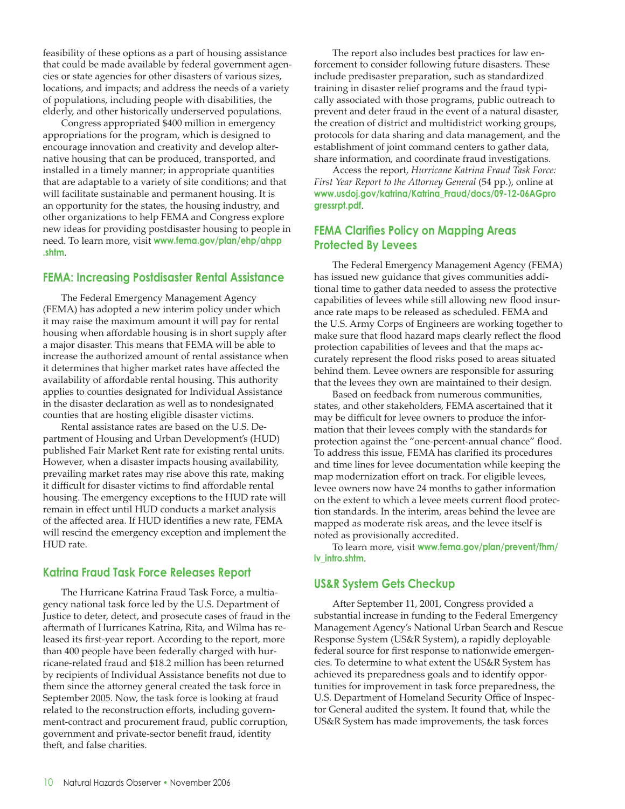feasibility of these options as a part of housing assistance that could be made available by federal government agencies or state agencies for other disasters of various sizes, locations, and impacts; and address the needs of a variety of populations, including people with disabilities, the elderly, and other historically underserved populations.

Congress appropriated \$400 million in emergency appropriations for the program, which is designed to encourage innovation and creativity and develop alternative housing that can be produced, transported, and installed in a timely manner; in appropriate quantities that are adaptable to a variety of site conditions; and that will facilitate sustainable and permanent housing. It is an opportunity for the states, the housing industry, and other organizations to help FEMA and Congress explore new ideas for providing postdisaster housing to people in need. To learn more, visit **www.fema.gov/plan/ehp/ahpp .shtm**.

# **FEMA: Increasing Postdisaster Rental Assistance**

The Federal Emergency Management Agency (FEMA) has adopted a new interim policy under which it may raise the maximum amount it will pay for rental housing when affordable housing is in short supply after a major disaster. This means that FEMA will be able to increase the authorized amount of rental assistance when it determines that higher market rates have affected the availability of affordable rental housing. This authority applies to counties designated for Individual Assistance in the disaster declaration as well as to nondesignated counties that are hosting eligible disaster victims.

Rental assistance rates are based on the U.S. Department of Housing and Urban Development's (HUD) published Fair Market Rent rate for existing rental units. However, when a disaster impacts housing availability, prevailing market rates may rise above this rate, making it difficult for disaster victims to find affordable rental housing. The emergency exceptions to the HUD rate will remain in effect until HUD conducts a market analysis of the affected area. If HUD identifies a new rate, FEMA will rescind the emergency exception and implement the HUD rate.

# **Katrina Fraud Task Force Releases Report**

The Hurricane Katrina Fraud Task Force, a multiagency national task force led by the U.S. Department of Justice to deter, detect, and prosecute cases of fraud in the aftermath of Hurricanes Katrina, Rita, and Wilma has released its first-year report. According to the report, more than 400 people have been federally charged with hurricane-related fraud and \$18.2 million has been returned by recipients of Individual Assistance benefits not due to them since the attorney general created the task force in September 2005. Now, the task force is looking at fraud related to the reconstruction efforts, including government-contract and procurement fraud, public corruption, government and private-sector benefit fraud, identity theft, and false charities.

The report also includes best practices for law enforcement to consider following future disasters. These include predisaster preparation, such as standardized training in disaster relief programs and the fraud typically associated with those programs, public outreach to prevent and deter fraud in the event of a natural disaster, the creation of district and multidistrict working groups, protocols for data sharing and data management, and the establishment of joint command centers to gather data, share information, and coordinate fraud investigations.

Access the report, *Hurricane Katrina Fraud Task Force: First Year Report to the Attorney General* (54 pp.), online at **www.usdoj.gov/katrina/Katrina\_Fraud/docs/09-12-06AGpro gressrpt.pdf**.

# **FEMA Clarifies Policy on Mapping Areas Protected By Levees**

The Federal Emergency Management Agency (FEMA) has issued new guidance that gives communities additional time to gather data needed to assess the protective capabilities of levees while still allowing new flood insurance rate maps to be released as scheduled. FEMA and the U.S. Army Corps of Engineers are working together to make sure that flood hazard maps clearly reflect the flood protection capabilities of levees and that the maps accurately represent the flood risks posed to areas situated behind them. Levee owners are responsible for assuring that the levees they own are maintained to their design.

Based on feedback from numerous communities, states, and other stakeholders, FEMA ascertained that it may be difficult for levee owners to produce the information that their levees comply with the standards for protection against the "one-percent-annual chance" flood. To address this issue, FEMA has clarified its procedures and time lines for levee documentation while keeping the map modernization effort on track. For eligible levees, levee owners now have 24 months to gather information on the extent to which a levee meets current flood protection standards. In the interim, areas behind the levee are mapped as moderate risk areas, and the levee itself is noted as provisionally accredited.

To learn more, visit **www.fema.gov/plan/prevent/fhm/ lv\_intro.shtm**.

#### **US&R System Gets Checkup**

After September 11, 2001, Congress provided a substantial increase in funding to the Federal Emergency Management Agency's National Urban Search and Rescue Response System (US&R System), a rapidly deployable federal source for first response to nationwide emergencies. To determine to what extent the US&R System has achieved its preparedness goals and to identify opportunities for improvement in task force preparedness, the U.S. Department of Homeland Security Office of Inspector General audited the system. It found that, while the US&R System has made improvements, the task forces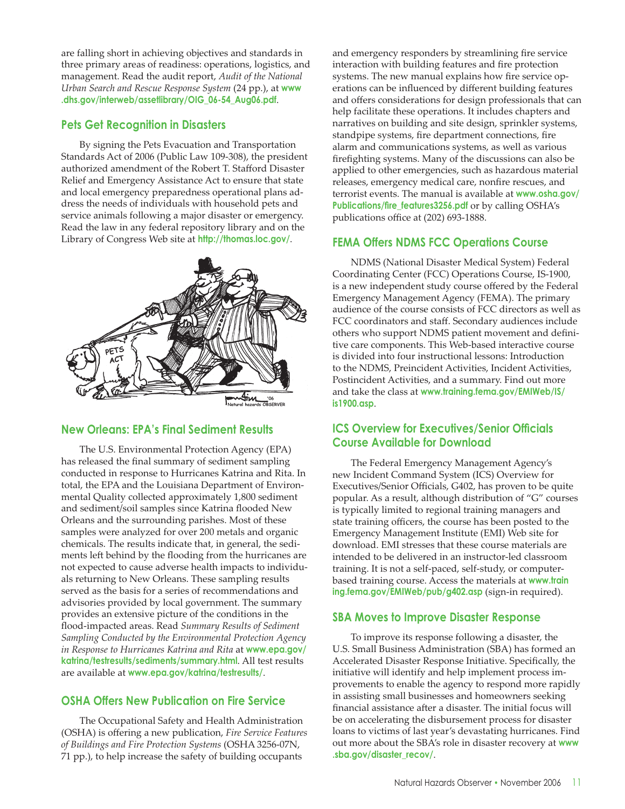are falling short in achieving objectives and standards in three primary areas of readiness: operations, logistics, and management. Read the audit report, *Audit of the National Urban Search and Rescue Response System* (24 pp.), at **www .dhs.gov/interweb/assetlibrary/OIG\_06-54\_Aug06.pdf**.

# **Pets Get Recognition in Disasters**

By signing the Pets Evacuation and Transportation Standards Act of 2006 (Public Law 109-308), the president authorized amendment of the Robert T. Stafford Disaster Relief and Emergency Assistance Act to ensure that state and local emergency preparedness operational plans address the needs of individuals with household pets and service animals following a major disaster or emergency. Read the law in any federal repository library and on the Library of Congress Web site at **http://thomas.loc.gov/**.



# **New Orleans: EPA's Final Sediment Results**

The U.S. Environmental Protection Agency (EPA) has released the final summary of sediment sampling conducted in response to Hurricanes Katrina and Rita. In total, the EPA and the Louisiana Department of Environmental Quality collected approximately 1,800 sediment and sediment/soil samples since Katrina flooded New Orleans and the surrounding parishes. Most of these samples were analyzed for over 200 metals and organic chemicals. The results indicate that, in general, the sediments left behind by the flooding from the hurricanes are not expected to cause adverse health impacts to individuals returning to New Orleans. These sampling results served as the basis for a series of recommendations and advisories provided by local government. The summary provides an extensive picture of the conditions in the flood-impacted areas. Read *Summary Results of Sediment Sampling Conducted by the Environmental Protection Agency in Response to Hurricanes Katrina and Rita* at **www.epa.gov/ katrina/testresults/sediments/summary.html**. All test results are available at **www.epa.gov/katrina/testresults/**.

# **OSHA Offers New Publication on Fire Service**

The Occupational Safety and Health Administration (OSHA) is offering a new publication, *Fire Service Features of Buildings and Fire Protection Systems* (OSHA 3256-07N, 71 pp.), to help increase the safety of building occupants

and emergency responders by streamlining fire service interaction with building features and fire protection systems. The new manual explains how fire service operations can be influenced by different building features and offers considerations for design professionals that can help facilitate these operations. It includes chapters and narratives on building and site design, sprinkler systems, standpipe systems, fire department connections, fire alarm and communications systems, as well as various firefighting systems. Many of the discussions can also be applied to other emergencies, such as hazardous material releases, emergency medical care, nonfire rescues, and terrorist events. The manual is available at **www.osha.gov/** Publications/fire\_features3256.pdf or by calling OSHA's publications office at (202) 693-1888.

# **FEMA Offers NDMS FCC Operations Course**

NDMS (National Disaster Medical System) Federal Coordinating Center (FCC) Operations Course, IS-1900, is a new independent study course offered by the Federal Emergency Management Agency (FEMA). The primary audience of the course consists of FCC directors as well as FCC coordinators and staff. Secondary audiences include others who support NDMS patient movement and definitive care components. This Web-based interactive course is divided into four instructional lessons: Introduction to the NDMS, Preincident Activities, Incident Activities, Postincident Activities, and a summary. Find out more and take the class at **www.training.fema.gov/EMIWeb/IS/ is1900.asp**.

# **ICS Overview for Executives/Senior Officials Course Available for Download**

The Federal Emergency Management Agency's new Incident Command System (ICS) Overview for Executives/Senior Officials, G402, has proven to be quite popular. As a result, although distribution of "G" courses is typically limited to regional training managers and state training officers, the course has been posted to the Emergency Management Institute (EMI) Web site for download. EMI stresses that these course materials are intended to be delivered in an instructor-led classroom training. It is not a self-paced, self-study, or computerbased training course. Access the materials at **www.train ing.fema.gov/EMIWeb/pub/g402.asp** (sign-in required).

# **SBA Moves to Improve Disaster Response**

To improve its response following a disaster, the U.S. Small Business Administration (SBA) has formed an Accelerated Disaster Response Initiative. Specifically, the initiative will identify and help implement process improvements to enable the agency to respond more rapidly in assisting small businesses and homeowners seeking financial assistance after a disaster. The initial focus will be on accelerating the disbursement process for disaster loans to victims of last year's devastating hurricanes. Find out more about the SBA's role in disaster recovery at **www .sba.gov/disaster\_recov/**.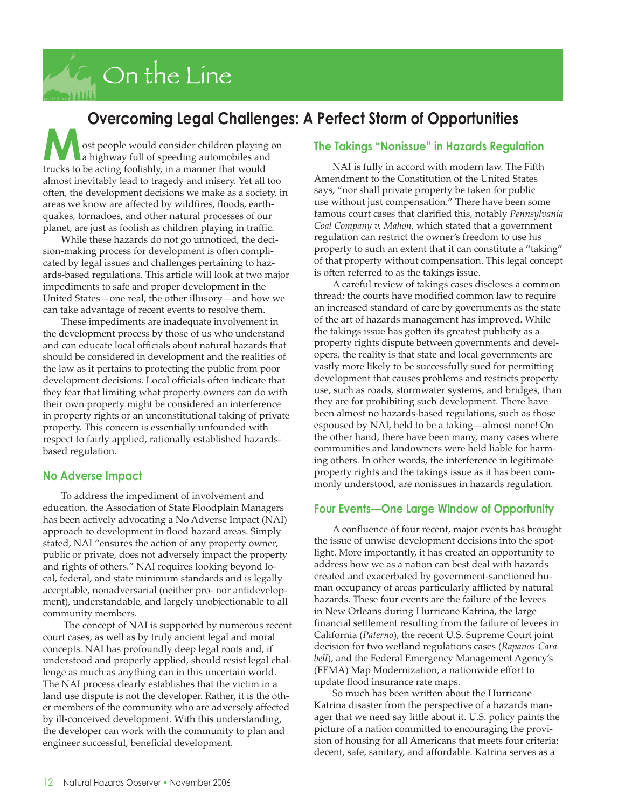# $\sqrt{c}$  On the Line

**Overcoming Legal Challenges: A Perfect Storm of Opportunities**

ost people would consider children playing on a highway full of speeding automobiles and trucks to be acting foolishly, in a manner that would almost inevitably lead to tragedy and misery. Yet all too often, the development decisions we make as a society, in areas we know are affected by wildfires, floods, earthquakes, tornadoes, and other natural processes of our planet, are just as foolish as children playing in traffic.

While these hazards do not go unnoticed, the decision-making process for development is often complicated by legal issues and challenges pertaining to hazards-based regulations. This article will look at two major impediments to safe and proper development in the United States—one real, the other illusory—and how we can take advantage of recent events to resolve them.

These impediments are inadequate involvement in the development process by those of us who understand and can educate local officials about natural hazards that should be considered in development and the realities of the law as it pertains to protecting the public from poor development decisions. Local officials often indicate that they fear that limiting what property owners can do with their own property might be considered an interference in property rights or an unconstitutional taking of private property. This concern is essentially unfounded with respect to fairly applied, rationally established hazardsbased regulation.

# **No Adverse Impact**

To address the impediment of involvement and education, the Association of State Floodplain Managers has been actively advocating a No Adverse Impact (NAI) approach to development in flood hazard areas. Simply stated, NAI "ensures the action of any property owner, public or private, does not adversely impact the property and rights of others." NAI requires looking beyond local, federal, and state minimum standards and is legally acceptable, nonadversarial (neither pro- nor antidevelopment), understandable, and largely unobjectionable to all community members.

 The concept of NAI is supported by numerous recent court cases, as well as by truly ancient legal and moral concepts. NAI has profoundly deep legal roots and, if understood and properly applied, should resist legal challenge as much as anything can in this uncertain world. The NAI process clearly establishes that the victim in a land use dispute is not the developer. Rather, it is the other members of the community who are adversely affected by ill-conceived development. With this understanding, the developer can work with the community to plan and engineer successful, beneficial development.

### **The Takings "Nonissue" in Hazards Regulation**

NAI is fully in accord with modern law. The Fifth Amendment to the Constitution of the United States says, "nor shall private property be taken for public use without just compensation." There have been some famous court cases that clarified this, notably *Pennsylvania Coal Company v. Mahon*, which stated that a government regulation can restrict the owner's freedom to use his property to such an extent that it can constitute a "taking" of that property without compensation. This legal concept is often referred to as the takings issue.

A careful review of takings cases discloses a common thread: the courts have modified common law to require an increased standard of care by governments as the state of the art of hazards management has improved. While the takings issue has gotten its greatest publicity as a property rights dispute between governments and developers, the reality is that state and local governments are vastly more likely to be successfully sued for permitting development that causes problems and restricts property use, such as roads, stormwater systems, and bridges, than they are for prohibiting such development. There have been almost no hazards-based regulations, such as those espoused by NAI, held to be a taking—almost none! On the other hand, there have been many, many cases where communities and landowners were held liable for harming others. In other words, the interference in legitimate property rights and the takings issue as it has been commonly understood, are nonissues in hazards regulation.

# **Four Events—One Large Window of Opportunity**

A confluence of four recent, major events has brought the issue of unwise development decisions into the spotlight. More importantly, it has created an opportunity to address how we as a nation can best deal with hazards created and exacerbated by government-sanctioned human occupancy of areas particularly afflicted by natural hazards. These four events are the failure of the levees in New Orleans during Hurricane Katrina, the large financial settlement resulting from the failure of levees in California (*Paterno*), the recent U.S. Supreme Court joint decision for two wetland regulations cases (*Rapanos-Carabell*), and the Federal Emergency Management Agency's (FEMA) Map Modernization, a nationwide effort to update flood insurance rate maps.

So much has been written about the Hurricane Katrina disaster from the perspective of a hazards manager that we need say little about it. U.S. policy paints the picture of a nation committed to encouraging the provision of housing for all Americans that meets four criteria: decent, safe, sanitary, and affordable. Katrina serves as a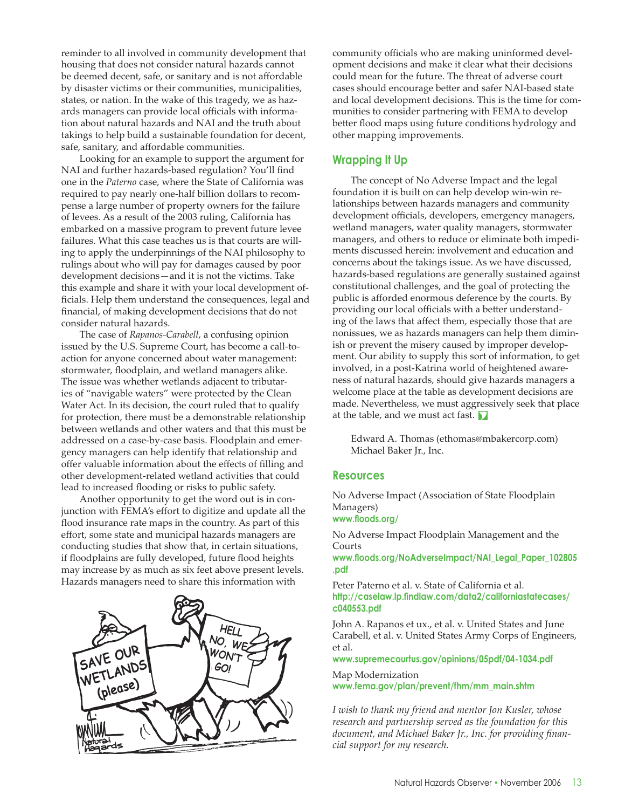reminder to all involved in community development that housing that does not consider natural hazards cannot be deemed decent, safe, or sanitary and is not affordable by disaster victims or their communities, municipalities, states, or nation. In the wake of this tragedy, we as hazards managers can provide local officials with information about natural hazards and NAI and the truth about takings to help build a sustainable foundation for decent, safe, sanitary, and affordable communities.

Looking for an example to support the argument for NAI and further hazards-based regulation? You'll find one in the *Paterno* case, where the State of California was required to pay nearly one-half billion dollars to recompense a large number of property owners for the failure of levees. As a result of the 2003 ruling, California has embarked on a massive program to prevent future levee failures. What this case teaches us is that courts are willing to apply the underpinnings of the NAI philosophy to rulings about who will pay for damages caused by poor development decisions—and it is not the victims. Take this example and share it with your local development officials. Help them understand the consequences, legal and financial, of making development decisions that do not consider natural hazards.

The case of *Rapanos-Carabell*, a confusing opinion issued by the U.S. Supreme Court, has become a call-toaction for anyone concerned about water management: stormwater, floodplain, and wetland managers alike. The issue was whether wetlands adjacent to tributaries of "navigable waters" were protected by the Clean Water Act. In its decision, the court ruled that to qualify for protection, there must be a demonstrable relationship between wetlands and other waters and that this must be addressed on a case-by-case basis. Floodplain and emergency managers can help identify that relationship and offer valuable information about the effects of filling and other development-related wetland activities that could lead to increased flooding or risks to public safety.

Another opportunity to get the word out is in conjunction with FEMA's effort to digitize and update all the flood insurance rate maps in the country. As part of this effort, some state and municipal hazards managers are conducting studies that show that, in certain situations, if floodplains are fully developed, future flood heights may increase by as much as six feet above present levels. Hazards managers need to share this information with



community officials who are making uninformed development decisions and make it clear what their decisions could mean for the future. The threat of adverse court cases should encourage better and safer NAI-based state and local development decisions. This is the time for communities to consider partnering with FEMA to develop better flood maps using future conditions hydrology and other mapping improvements.

# **Wrapping It Up**

The concept of No Adverse Impact and the legal foundation it is built on can help develop win-win relationships between hazards managers and community development officials, developers, emergency managers, wetland managers, water quality managers, stormwater managers, and others to reduce or eliminate both impediments discussed herein: involvement and education and concerns about the takings issue. As we have discussed, hazards-based regulations are generally sustained against constitutional challenges, and the goal of protecting the public is afforded enormous deference by the courts. By providing our local officials with a better understanding of the laws that affect them, especially those that are nonissues, we as hazards managers can help them diminish or prevent the misery caused by improper development. Our ability to supply this sort of information, to get involved, in a post-Katrina world of heightened awareness of natural hazards, should give hazards managers a welcome place at the table as development decisions are made. Nevertheless, we must aggressively seek that place at the table, and we must act fast.

Edward A. Thomas (ethomas@mbakercorp.com) Michael Baker Jr., Inc.

# **Resources**

No Adverse Impact (Association of State Floodplain Managers)

#### **www.fl oods.org/**

No Adverse Impact Floodplain Management and the Courts

**www.fl oods.org/NoAdverseImpact/NAI\_Legal\_Paper\_102805 .pdf**

Peter Paterno et al. v. State of California et al. **http://caselaw.lp.fi ndlaw.com/data2/californiastatecases/ c040553.pdf**

John A. Rapanos et ux., et al. v. United States and June Carabell, et al. v. United States Army Corps of Engineers, et al.

**www.supremecourtus.gov/opinions/05pdf/04-1034.pdf**

Map Modernization **www.fema.gov/plan/prevent/fhm/mm\_main.shtm**

*I wish to thank my friend and mentor Jon Kusler, whose research and partnership served as the foundation for this*  document, and Michael Baker Jr., Inc. for providing finan*cial support for my research.*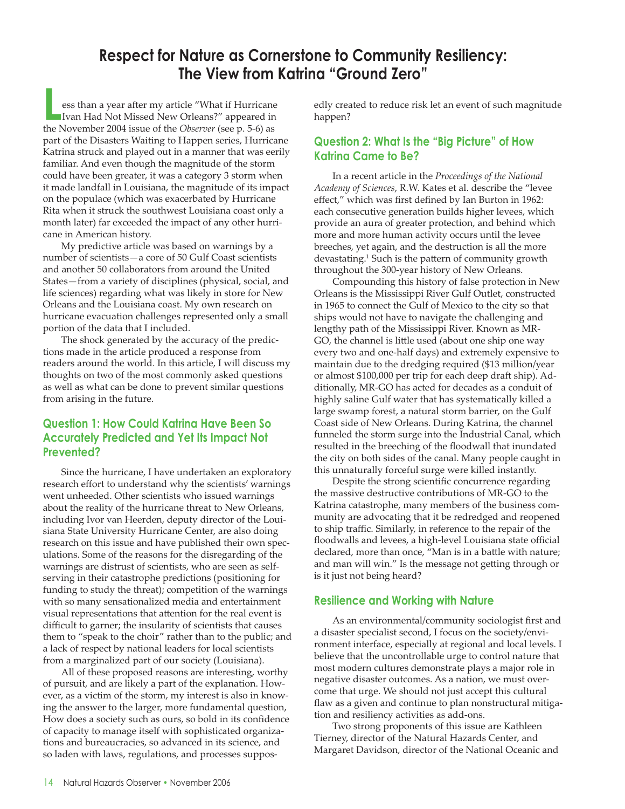# **Respect for Nature as Cornerstone to Community Resiliency: The View from Katrina "Ground Zero"**

**Less than a year after my article "What if Hurricane Ivan Had Not Missed New Orleans?" appeared in the November 2004 issue of the Observer (see n 5-6) as** the November 2004 issue of the *Observer* (see p. 5-6) as part of the Disasters Waiting to Happen series, Hurricane Katrina struck and played out in a manner that was eerily familiar. And even though the magnitude of the storm could have been greater, it was a category 3 storm when it made landfall in Louisiana, the magnitude of its impact on the populace (which was exacerbated by Hurricane Rita when it struck the southwest Louisiana coast only a month later) far exceeded the impact of any other hurricane in American history.

My predictive article was based on warnings by a number of scientists—a core of 50 Gulf Coast scientists and another 50 collaborators from around the United States—from a variety of disciplines (physical, social, and life sciences) regarding what was likely in store for New Orleans and the Louisiana coast. My own research on hurricane evacuation challenges represented only a small portion of the data that I included.

The shock generated by the accuracy of the predictions made in the article produced a response from readers around the world. In this article, I will discuss my thoughts on two of the most commonly asked questions as well as what can be done to prevent similar questions from arising in the future.

# **Question 1: How Could Katrina Have Been So Accurately Predicted and Yet Its Impact Not Prevented?**

Since the hurricane, I have undertaken an exploratory research effort to understand why the scientists' warnings went unheeded. Other scientists who issued warnings about the reality of the hurricane threat to New Orleans, including Ivor van Heerden, deputy director of the Louisiana State University Hurricane Center, are also doing research on this issue and have published their own speculations. Some of the reasons for the disregarding of the warnings are distrust of scientists, who are seen as selfserving in their catastrophe predictions (positioning for funding to study the threat); competition of the warnings with so many sensationalized media and entertainment visual representations that attention for the real event is difficult to garner; the insularity of scientists that causes them to "speak to the choir" rather than to the public; and a lack of respect by national leaders for local scientists from a marginalized part of our society (Louisiana).

All of these proposed reasons are interesting, worthy of pursuit, and are likely a part of the explanation. However, as a victim of the storm, my interest is also in knowing the answer to the larger, more fundamental question, How does a society such as ours, so bold in its confidence of capacity to manage itself with sophisticated organizations and bureaucracies, so advanced in its science, and so laden with laws, regulations, and processes supposedly created to reduce risk let an event of such magnitude happen?

# **Question 2: What Is the "Big Picture" of How Katrina Came to Be?**

In a recent article in the *Proceedings of the National Academy of Sciences*, R.W. Kates et al. describe the "levee effect," which was first defined by Ian Burton in 1962: each consecutive generation builds higher levees, which provide an aura of greater protection, and behind which more and more human activity occurs until the levee breeches, yet again, and the destruction is all the more devastating.<sup>1</sup> Such is the pattern of community growth throughout the 300-year history of New Orleans.

Compounding this history of false protection in New Orleans is the Mississippi River Gulf Outlet, constructed in 1965 to connect the Gulf of Mexico to the city so that ships would not have to navigate the challenging and lengthy path of the Mississippi River. Known as MR-GO, the channel is little used (about one ship one way every two and one-half days) and extremely expensive to maintain due to the dredging required (\$13 million/year or almost \$100,000 per trip for each deep draft ship). Additionally, MR-GO has acted for decades as a conduit of highly saline Gulf water that has systematically killed a large swamp forest, a natural storm barrier, on the Gulf Coast side of New Orleans. During Katrina, the channel funneled the storm surge into the Industrial Canal, which resulted in the breeching of the floodwall that inundated the city on both sides of the canal. Many people caught in this unnaturally forceful surge were killed instantly.

Despite the strong scientific concurrence regarding the massive destructive contributions of MR-GO to the Katrina catastrophe, many members of the business community are advocating that it be redredged and reopened to ship traffic. Similarly, in reference to the repair of the floodwalls and levees, a high-level Louisiana state official declared, more than once, "Man is in a battle with nature; and man will win." Is the message not getting through or is it just not being heard?

# **Resilience and Working with Nature**

As an environmental/community sociologist first and a disaster specialist second, I focus on the society/environment interface, especially at regional and local levels. I believe that the uncontrollable urge to control nature that most modern cultures demonstrate plays a major role in negative disaster outcomes. As a nation, we must overcome that urge. We should not just accept this cultural flaw as a given and continue to plan nonstructural mitigation and resiliency activities as add-ons.

Two strong proponents of this issue are Kathleen Tierney, director of the Natural Hazards Center, and Margaret Davidson, director of the National Oceanic and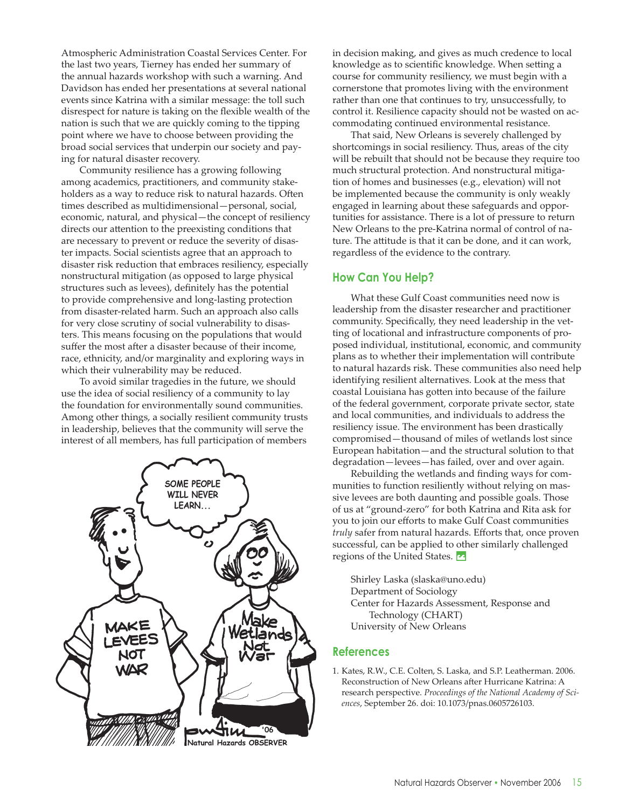Atmospheric Administration Coastal Services Center. For the last two years, Tierney has ended her summary of the annual hazards workshop with such a warning. And Davidson has ended her presentations at several national events since Katrina with a similar message: the toll such disrespect for nature is taking on the flexible wealth of the nation is such that we are quickly coming to the tipping point where we have to choose between providing the broad social services that underpin our society and paying for natural disaster recovery.

Community resilience has a growing following among academics, practitioners, and community stakeholders as a way to reduce risk to natural hazards. Often times described as multidimensional—personal, social, economic, natural, and physical—the concept of resiliency directs our attention to the preexisting conditions that are necessary to prevent or reduce the severity of disaster impacts. Social scientists agree that an approach to disaster risk reduction that embraces resiliency, especially nonstructural mitigation (as opposed to large physical structures such as levees), definitely has the potential to provide comprehensive and long-lasting protection from disaster-related harm. Such an approach also calls for very close scrutiny of social vulnerability to disasters. This means focusing on the populations that would suffer the most after a disaster because of their income, race, ethnicity, and/or marginality and exploring ways in which their vulnerability may be reduced.

To avoid similar tragedies in the future, we should use the idea of social resiliency of a community to lay the foundation for environmentally sound communities. Among other things, a socially resilient community trusts in leadership, believes that the community will serve the interest of all members, has full participation of members



in decision making, and gives as much credence to local knowledge as to scientific knowledge. When setting a course for community resiliency, we must begin with a cornerstone that promotes living with the environment rather than one that continues to try, unsuccessfully, to control it. Resilience capacity should not be wasted on accommodating continued environmental resistance.

That said, New Orleans is severely challenged by shortcomings in social resiliency. Thus, areas of the city will be rebuilt that should not be because they require too much structural protection. And nonstructural mitigation of homes and businesses (e.g., elevation) will not be implemented because the community is only weakly engaged in learning about these safeguards and opportunities for assistance. There is a lot of pressure to return New Orleans to the pre-Katrina normal of control of nature. The attitude is that it can be done, and it can work, regardless of the evidence to the contrary.

# **How Can You Help?**

What these Gulf Coast communities need now is leadership from the disaster researcher and practitioner community. Specifically, they need leadership in the vetting of locational and infrastructure components of proposed individual, institutional, economic, and community plans as to whether their implementation will contribute to natural hazards risk. These communities also need help identifying resilient alternatives. Look at the mess that coastal Louisiana has gotten into because of the failure of the federal government, corporate private sector, state and local communities, and individuals to address the resiliency issue. The environment has been drastically compromised—thousand of miles of wetlands lost since European habitation—and the structural solution to that degradation—levees—has failed, over and over again.

Rebuilding the wetlands and finding ways for communities to function resiliently without relying on massive levees are both daunting and possible goals. Those of us at "ground-zero" for both Katrina and Rita ask for you to join our efforts to make Gulf Coast communities truly safer from natural hazards. Efforts that, once proven successful, can be applied to other similarly challenged regions of the United States.

Shirley Laska (slaska@uno.edu) Department of Sociology Center for Hazards Assessment, Response and Technology (CHART) University of New Orleans

# **References**

1. Kates, R.W., C.E. Colten, S. Laska, and S.P. Leatherman. 2006. Reconstruction of New Orleans after Hurricane Katrina: A research perspective. *Proceedings of the National Academy of Sciences*, September 26. doi: 10.1073/pnas.0605726103.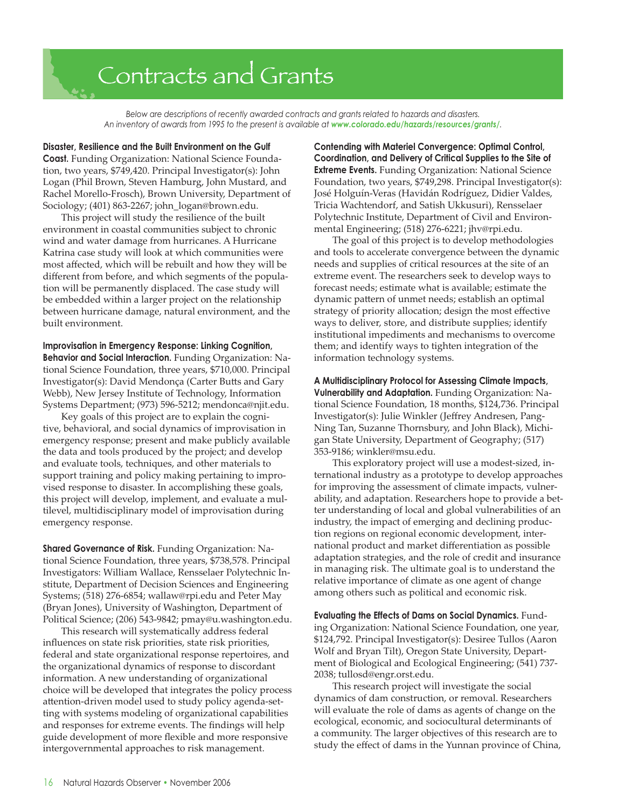# Contracts and Grants

*Below are descriptions of recently awarded contracts and grants related to hazards and disasters.* An inventory of awards from 1995 to the present is available at **www.colorado.edu/hazards/resources/grants/**.

#### **Disaster, Resilience and the Built Environment on the Gulf**

**Coast.** Funding Organization: National Science Foundation, two years, \$749,420. Principal Investigator(s): John Logan (Phil Brown, Steven Hamburg, John Mustard, and Rachel Morello-Frosch), Brown University, Department of Sociology; (401) 863-2267; john\_logan@brown.edu.

This project will study the resilience of the built environment in coastal communities subject to chronic wind and water damage from hurricanes. A Hurricane Katrina case study will look at which communities were most affected, which will be rebuilt and how they will be different from before, and which segments of the population will be permanently displaced. The case study will be embedded within a larger project on the relationship between hurricane damage, natural environment, and the built environment.

#### **Improvisation in Emergency Response: Linking Cognition,**

**Behavior and Social Interaction.** Funding Organization: National Science Foundation, three years, \$710,000. Principal Investigator(s): David Mendonça (Carter Butts and Gary Webb), New Jersey Institute of Technology, Information Systems Department; (973) 596-5212; mendonca@njit.edu.

Key goals of this project are to explain the cognitive, behavioral, and social dynamics of improvisation in emergency response; present and make publicly available the data and tools produced by the project; and develop and evaluate tools, techniques, and other materials to support training and policy making pertaining to improvised response to disaster. In accomplishing these goals, this project will develop, implement, and evaluate a multilevel, multidisciplinary model of improvisation during emergency response.

**Shared Governance of Risk.** Funding Organization: National Science Foundation, three years, \$738,578. Principal Investigators: William Wallace, Rensselaer Polytechnic Institute, Department of Decision Sciences and Engineering Systems; (518) 276-6854; wallaw@rpi.edu and Peter May (Bryan Jones), University of Washington, Department of Political Science; (206) 543-9842; pmay@u.washington.edu.

This research will systematically address federal influences on state risk priorities, state risk priorities, federal and state organizational response repertoires, and the organizational dynamics of response to discordant information. A new understanding of organizational choice will be developed that integrates the policy process attention-driven model used to study policy agenda-setting with systems modeling of organizational capabilities and responses for extreme events. The findings will help guide development of more flexible and more responsive intergovernmental approaches to risk management.

**Contending with Materiel Convergence: Optimal Control, Coordination, and Delivery of Critical Supplies to the Site of Extreme Events.** Funding Organization: National Science Foundation, two years, \$749,298. Principal Investigator(s): José Holguín-Veras (Havidán Rodríguez, Didier Valdes, Tricia Wachtendorf, and Satish Ukkusuri), Rensselaer Polytechnic Institute, Department of Civil and Environmental Engineering; (518) 276-6221; jhv@rpi.edu.

The goal of this project is to develop methodologies and tools to accelerate convergence between the dynamic needs and supplies of critical resources at the site of an extreme event. The researchers seek to develop ways to forecast needs; estimate what is available; estimate the dynamic pattern of unmet needs; establish an optimal strategy of priority allocation; design the most effective ways to deliver, store, and distribute supplies; identify institutional impediments and mechanisms to overcome them; and identify ways to tighten integration of the information technology systems.

**A Multidisciplinary Protocol for Assessing Climate Impacts, Vulnerability and Adaptation.** Funding Organization: National Science Foundation, 18 months, \$124,736. Principal Investigator(s): Julie Winkler (Jeffrey Andresen, Pang-Ning Tan, Suzanne Thornsbury, and John Black), Michigan State University, Department of Geography; (517) 353-9186; winkler@msu.edu.

This exploratory project will use a modest-sized, international industry as a prototype to develop approaches for improving the assessment of climate impacts, vulnerability, and adaptation. Researchers hope to provide a better understanding of local and global vulnerabilities of an industry, the impact of emerging and declining production regions on regional economic development, international product and market differentiation as possible adaptation strategies, and the role of credit and insurance in managing risk. The ultimate goal is to understand the relative importance of climate as one agent of change among others such as political and economic risk.

**Evaluating the Effects of Dams on Social Dynamics.** Funding Organization: National Science Foundation, one year, \$124,792. Principal Investigator(s): Desiree Tullos (Aaron Wolf and Bryan Tilt), Oregon State University, Department of Biological and Ecological Engineering; (541) 737- 2038; tullosd@engr.orst.edu.

This research project will investigate the social dynamics of dam construction, or removal. Researchers will evaluate the role of dams as agents of change on the ecological, economic, and sociocultural determinants of a community. The larger objectives of this research are to study the effect of dams in the Yunnan province of China,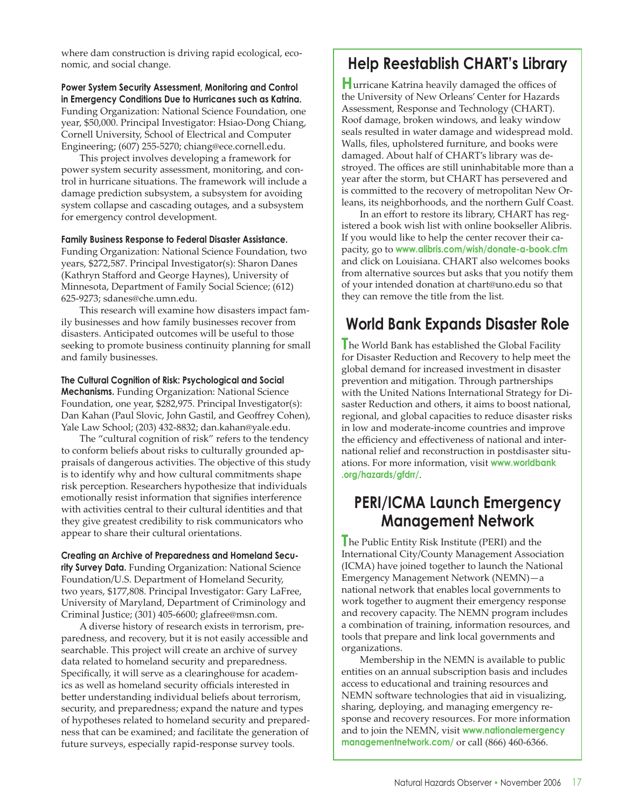where dam construction is driving rapid ecological, economic, and social change.

**Power System Security Assessment, Monitoring and Control in Emergency Conditions Due to Hurricanes such as Katrina.** Funding Organization: National Science Foundation, one year, \$50,000. Principal Investigator: Hsiao-Dong Chiang, Cornell University, School of Electrical and Computer Engineering; (607) 255-5270; chiang@ece.cornell.edu.

This project involves developing a framework for power system security assessment, monitoring, and control in hurricane situations. The framework will include a damage prediction subsystem, a subsystem for avoiding system collapse and cascading outages, and a subsystem for emergency control development.

**Family Business Response to Federal Disaster Assistance.** 

Funding Organization: National Science Foundation, two years, \$272,587. Principal Investigator(s): Sharon Danes (Kathryn Stafford and George Haynes), University of Minnesota, Department of Family Social Science; (612) 625-9273; sdanes@che.umn.edu.

This research will examine how disasters impact family businesses and how family businesses recover from disasters. Anticipated outcomes will be useful to those seeking to promote business continuity planning for small and family businesses.

#### **The Cultural Cognition of Risk: Psychological and Social**

**Mechanisms.** Funding Organization: National Science Foundation, one year, \$282,975. Principal Investigator(s): Dan Kahan (Paul Slovic, John Gastil, and Geoffrey Cohen), Yale Law School; (203) 432-8832; dan.kahan@yale.edu.

The "cultural cognition of risk" refers to the tendency to conform beliefs about risks to culturally grounded appraisals of dangerous activities. The objective of this study is to identify why and how cultural commitments shape risk perception. Researchers hypothesize that individuals emotionally resist information that signifies interference with activities central to their cultural identities and that they give greatest credibility to risk communicators who appear to share their cultural orientations.

#### **Creating an Archive of Preparedness and Homeland Secu-**

**rity Survey Data.** Funding Organization: National Science Foundation/U.S. Department of Homeland Security, two years, \$177,808. Principal Investigator: Gary LaFree, University of Maryland, Department of Criminology and Criminal Justice; (301) 405-6600; glafree@msn.com.

A diverse history of research exists in terrorism, preparedness, and recovery, but it is not easily accessible and searchable. This project will create an archive of survey data related to homeland security and preparedness. Specifically, it will serve as a clearinghouse for academics as well as homeland security officials interested in better understanding individual beliefs about terrorism, security, and preparedness; expand the nature and types of hypotheses related to homeland security and preparedness that can be examined; and facilitate the generation of future surveys, especially rapid-response survey tools.

# **Help Reestablish CHART's Library**

**H**urricane Katrina heavily damaged the offices of the University of New Orleans' Center for Hazards Assessment, Response and Technology (CHART). Roof damage, broken windows, and leaky window seals resulted in water damage and widespread mold. Walls, files, upholstered furniture, and books were damaged. About half of CHART's library was destroyed. The offices are still uninhabitable more than a year after the storm, but CHART has persevered and is committed to the recovery of metropolitan New Orleans, its neighborhoods, and the northern Gulf Coast.

In an effort to restore its library, CHART has registered a book wish list with online bookseller Alibris. If you would like to help the center recover their capacity, go to **www.alibris.com/wish/donate-a-book.cfm** and click on Louisiana. CHART also welcomes books from alternative sources but asks that you notify them of your intended donation at chart@uno.edu so that they can remove the title from the list.

# **World Bank Expands Disaster Role**

**T**he World Bank has established the Global Facility for Disaster Reduction and Recovery to help meet the global demand for increased investment in disaster prevention and mitigation. Through partnerships with the United Nations International Strategy for Disaster Reduction and others, it aims to boost national, regional, and global capacities to reduce disaster risks in low and moderate-income countries and improve the efficiency and effectiveness of national and international relief and reconstruction in postdisaster situations. For more information, visit **www.worldbank .org/hazards/gfdrr/**.

# **PERI/ICMA Launch Emergency Management Network**

**The Public Entity Risk Institute (PERI) and the** International City/County Management Association (ICMA) have joined together to launch the National Emergency Management Network (NEMN)—a national network that enables local governments to work together to augment their emergency response and recovery capacity. The NEMN program includes a combination of training, information resources, and tools that prepare and link local governments and organizations.

Membership in the NEMN is available to public entities on an annual subscription basis and includes access to educational and training resources and NEMN software technologies that aid in visualizing, sharing, deploying, and managing emergency response and recovery resources. For more information and to join the NEMN, visit **www.nationalemergency managementnetwork.com/** or call (866) 460-6366.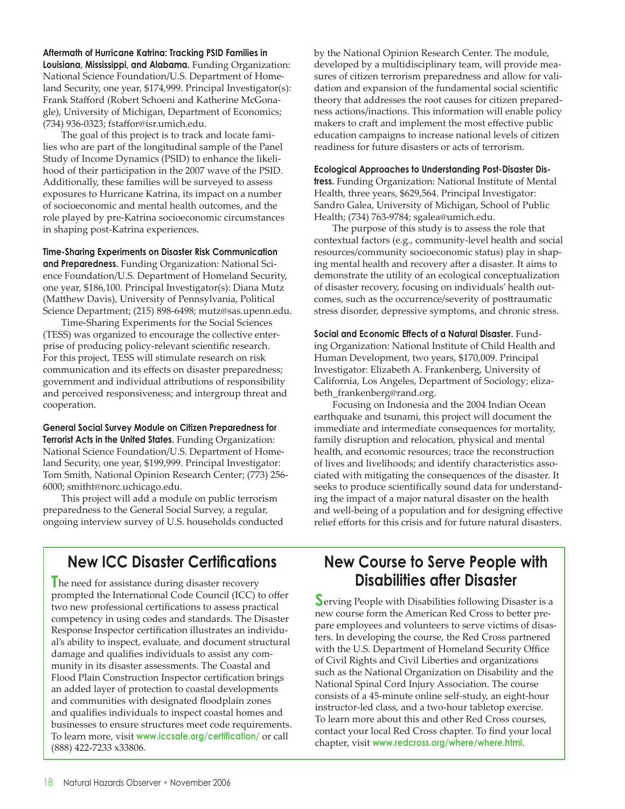**Aftermath of Hurricane Katrina: Tracking PSID Families in Louisiana, Mississippi, and Alabama.** Funding Organization: National Science Foundation/U.S. Department of Homeland Security, one year, \$174,999. Principal Investigator(s): Frank Stafford (Robert Schoeni and Katherine McGonagle), University of Michigan, Department of Economics; (734) 936-0323; fstaffor@isr.umich.edu.

The goal of this project is to track and locate families who are part of the longitudinal sample of the Panel Study of Income Dynamics (PSID) to enhance the likelihood of their participation in the 2007 wave of the PSID. Additionally, these families will be surveyed to assess exposures to Hurricane Katrina, its impact on a number of socioeconomic and mental health outcomes, and the role played by pre-Katrina socioeconomic circumstances in shaping post-Katrina experiences.

#### **Time-Sharing Experiments on Disaster Risk Communication**

**and Preparedness.** Funding Organization: National Science Foundation/U.S. Department of Homeland Security, one year, \$186,100. Principal Investigator(s): Diana Mutz (Matthew Davis), University of Pennsylvania, Political Science Department; (215) 898-6498; mutz@sas.upenn.edu.

Time-Sharing Experiments for the Social Sciences (TESS) was organized to encourage the collective enterprise of producing policy-relevant scientific research. For this project, TESS will stimulate research on risk communication and its effects on disaster preparedness; government and individual attributions of responsibility and perceived responsiveness; and intergroup threat and cooperation.

**General Social Survey Module on Citizen Preparedness for Terrorist Acts in the United States.** Funding Organization: National Science Foundation/U.S. Department of Homeland Security, one year, \$199,999. Principal Investigator: Tom Smith, National Opinion Research Center; (773) 256- 6000; smitht@norc.uchicago.edu.

This project will add a module on public terrorism preparedness to the General Social Survey, a regular, ongoing interview survey of U.S. households conducted

# **New ICC Disaster Certifications**

The need for assistance during disaster recovery prompted the International Code Council (ICC) to offer two new professional certifications to assess practical competency in using codes and standards. The Disaster Response Inspector certification illustrates an individual's ability to inspect, evaluate, and document structural damage and qualifies individuals to assist any community in its disaster assessments. The Coastal and Flood Plain Construction Inspector certification brings an added layer of protection to coastal developments and communities with designated floodplain zones and qualifies individuals to inspect coastal homes and businesses to ensure structures meet code requirements. To learn more, visit www.iccsafe.org/certification/ or call (888) 422-7233 x33806.

by the National Opinion Research Center. The module, developed by a multidisciplinary team, will provide measures of citizen terrorism preparedness and allow for validation and expansion of the fundamental social scientific theory that addresses the root causes for citizen preparedness actions/inactions. This information will enable policy makers to craft and implement the most effective public education campaigns to increase national levels of citizen readiness for future disasters or acts of terrorism.

#### **Ecological Approaches to Understanding Post-Disaster Distress.** Funding Organization: National Institute of Mental Health, three years, \$629,564. Principal Investigator: Sandro Galea, University of Michigan, School of Public Health; (734) 763-9784; sgalea@umich.edu.

The purpose of this study is to assess the role that contextual factors (e.g., community-level health and social resources/community socioeconomic status) play in shaping mental health and recovery after a disaster. It aims to demonstrate the utility of an ecological conceptualization of disaster recovery, focusing on individuals' health outcomes, such as the occurrence/severity of posttraumatic stress disorder, depressive symptoms, and chronic stress.

**Social and Economic Effects of a Natural Disaster.** Funding Organization: National Institute of Child Health and Human Development, two years, \$170,009. Principal Investigator: Elizabeth A. Frankenberg, University of California, Los Angeles, Department of Sociology; elizabeth\_frankenberg@rand.org.

Focusing on Indonesia and the 2004 Indian Ocean earthquake and tsunami, this project will document the immediate and intermediate consequences for mortality, family disruption and relocation, physical and mental health, and economic resources; trace the reconstruction of lives and livelihoods; and identify characteristics associated with mitigating the consequences of the disaster. It seeks to produce scientifically sound data for understanding the impact of a major natural disaster on the health and well-being of a population and for designing effective relief efforts for this crisis and for future natural disasters.

# **New Course to Serve People with Disabilities after Disaster**

**S**erving People with Disabilities following Disaster is a new course form the American Red Cross to better prepare employees and volunteers to serve victims of disasters. In developing the course, the Red Cross partnered with the U.S. Department of Homeland Security Office of Civil Rights and Civil Liberties and organizations such as the National Organization on Disability and the National Spinal Cord Injury Association. The course consists of a 45-minute online self-study, an eight-hour instructor-led class, and a two-hour tabletop exercise. To learn more about this and other Red Cross courses, contact your local Red Cross chapter. To find your local chapter, visit **www.redcross.org/where/where.html**.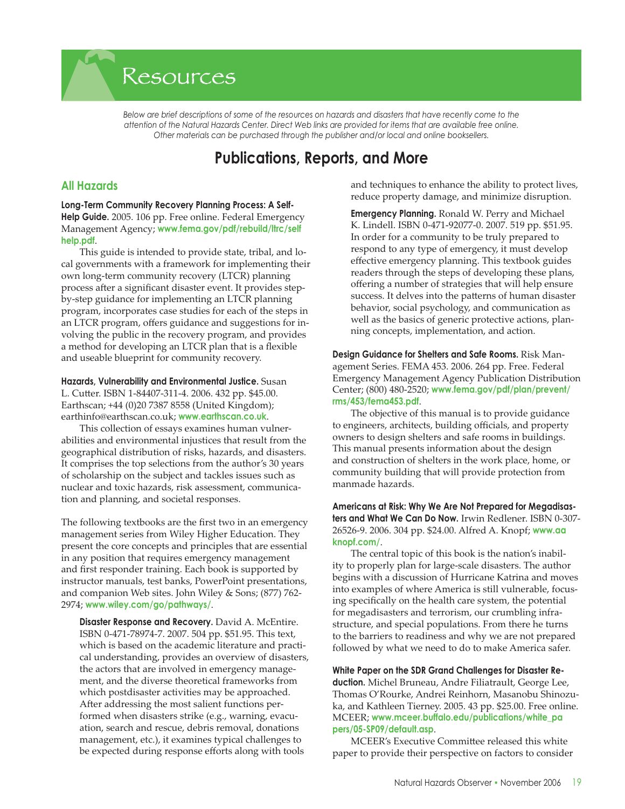

*Below are brief descriptions of some of the resources on hazards and disasters that have recently come to the attention of the Natural Hazards Center. Direct Web links are provided for items that are available free online. Other materials can be purchased through the publisher and/or local and online booksellers.*

# **Publications, Reports, and More**

# **All Hazards**

**Long-Term Community Recovery Planning Process: A Self-Help Guide.** 2005. 106 pp. Free online. Federal Emergency Management Agency; **www.fema.gov/pdf/rebuild/ltrc/self help.pdf**.

This guide is intended to provide state, tribal, and local governments with a framework for implementing their own long-term community recovery (LTCR) planning process after a significant disaster event. It provides stepby-step guidance for implementing an LTCR planning program, incorporates case studies for each of the steps in an LTCR program, offers guidance and suggestions for involving the public in the recovery program, and provides a method for developing an LTCR plan that is a flexible and useable blueprint for community recovery.

**Hazards, Vulnerability and Environmental Justice.** Susan L. Cutter. ISBN 1-84407-311-4. 2006. 432 pp. \$45.00. Earthscan; +44 (0)20 7387 8558 (United Kingdom); earthinfo@earthscan.co.uk; **www.earthscan.co.uk**.

This collection of essays examines human vulnerabilities and environmental injustices that result from the geographical distribution of risks, hazards, and disasters. It comprises the top selections from the author's 30 years of scholarship on the subject and tackles issues such as nuclear and toxic hazards, risk assessment, communication and planning, and societal responses.

The following textbooks are the first two in an emergency management series from Wiley Higher Education. They present the core concepts and principles that are essential in any position that requires emergency management and first responder training. Each book is supported by instructor manuals, test banks, PowerPoint presentations, and companion Web sites. John Wiley & Sons; (877) 762- 2974; **www.wiley.com/go/pathways/**.

**Disaster Response and Recovery.** David A. McEntire. ISBN 0-471-78974-7. 2007. 504 pp. \$51.95. This text, which is based on the academic literature and practical understanding, provides an overview of disasters, the actors that are involved in emergency management, and the diverse theoretical frameworks from which postdisaster activities may be approached. After addressing the most salient functions performed when disasters strike (e.g., warning, evacuation, search and rescue, debris removal, donations management, etc.), it examines typical challenges to be expected during response efforts along with tools

and techniques to enhance the ability to protect lives, reduce property damage, and minimize disruption.

**Emergency Planning.** Ronald W. Perry and Michael K. Lindell. ISBN 0-471-92077-0. 2007. 519 pp. \$51.95. In order for a community to be truly prepared to respond to any type of emergency, it must develop effective emergency planning. This textbook guides readers through the steps of developing these plans, offering a number of strategies that will help ensure success. It delves into the patterns of human disaster behavior, social psychology, and communication as well as the basics of generic protective actions, planning concepts, implementation, and action.

**Design Guidance for Shelters and Safe Rooms.** Risk Management Series. FEMA 453. 2006. 264 pp. Free. Federal Emergency Management Agency Publication Distribution Center; (800) 480-2520; **www.fema.gov/pdf/plan/prevent/ rms/453/fema453.pdf**.

The objective of this manual is to provide guidance to engineers, architects, building officials, and property owners to design shelters and safe rooms in buildings. This manual presents information about the design and construction of shelters in the work place, home, or community building that will provide protection from manmade hazards.

**Americans at Risk: Why We Are Not Prepared for Megadisasters and What We Can Do Now.** Irwin Redlener. ISBN 0-307- 26526-9. 2006. 304 pp. \$24.00. Alfred A. Knopf; **www.aa knopf.com/**.

The central topic of this book is the nation's inability to properly plan for large-scale disasters. The author begins with a discussion of Hurricane Katrina and moves into examples of where America is still vulnerable, focusing specifically on the health care system, the potential for megadisasters and terrorism, our crumbling infrastructure, and special populations. From there he turns to the barriers to readiness and why we are not prepared followed by what we need to do to make America safer.

**White Paper on the SDR Grand Challenges for Disaster Reduction.** Michel Bruneau, Andre Filiatrault, George Lee,

Thomas O'Rourke, Andrei Reinhorn, Masanobu Shinozuka, and Kathleen Tierney. 2005. 43 pp. \$25.00. Free online. MCEER; **www.mceer.buffalo.edu/publications/white\_pa pers/05-SP09/default.asp**.

MCEER's Executive Committee released this white paper to provide their perspective on factors to consider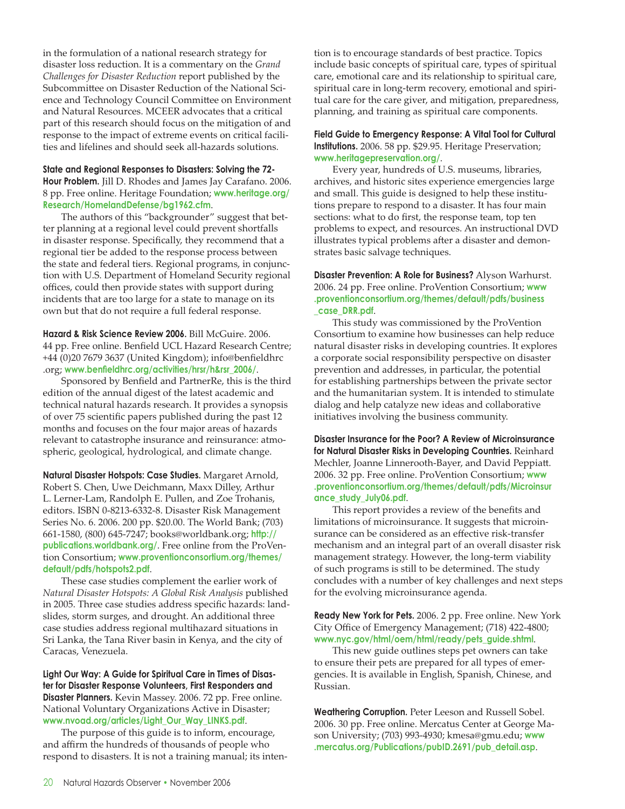in the formulation of a national research strategy for disaster loss reduction. It is a commentary on the *Grand Challenges for Disaster Reduction* report published by the Subcommittee on Disaster Reduction of the National Science and Technology Council Committee on Environment and Natural Resources. MCEER advocates that a critical part of this research should focus on the mitigation of and response to the impact of extreme events on critical facilities and lifelines and should seek all-hazards solutions.

#### **State and Regional Responses to Disasters: Solving the 72- Hour Problem.** Jill D. Rhodes and James Jay Carafano. 2006. 8 pp. Free online. Heritage Foundation; **www.heritage.org/ Research/HomelandDefense/bg1962.cfm**.

The authors of this "backgrounder" suggest that better planning at a regional level could prevent shortfalls in disaster response. Specifically, they recommend that a regional tier be added to the response process between the state and federal tiers. Regional programs, in conjunction with U.S. Department of Homeland Security regional offices, could then provide states with support during incidents that are too large for a state to manage on its own but that do not require a full federal response.

**Hazard & Risk Science Review 2006.** Bill McGuire. 2006. 44 pp. Free online. Benfield UCL Hazard Research Centre; +44 (0)20 7679 3637 (United Kingdom); info@benfieldhrc .org; **www.benfi eldhrc.org/activities/hrsr/h&rsr\_2006/**.

Sponsored by Benfield and PartnerRe, this is the third edition of the annual digest of the latest academic and technical natural hazards research. It provides a synopsis of over 75 scientific papers published during the past 12 months and focuses on the four major areas of hazards relevant to catastrophe insurance and reinsurance: atmospheric, geological, hydrological, and climate change.

**Natural Disaster Hotspots: Case Studies.** Margaret Arnold, Robert S. Chen, Uwe Deichmann, Maxx Dilley, Arthur L. Lerner-Lam, Randolph E. Pullen, and Zoe Trohanis, editors. ISBN 0-8213-6332-8. Disaster Risk Management Series No. 6. 2006. 200 pp. \$20.00. The World Bank; (703) 661-1580, (800) 645-7247; books@worldbank.org; **http:// publications.worldbank.org/**. Free online from the ProVention Consortium; **www.proventionconsortium.org/themes/ default/pdfs/hotspots2.pdf**.

These case studies complement the earlier work of *Natural Disaster Hotspots: A Global Risk Analysis* published in 2005. Three case studies address specific hazards: landslides, storm surges, and drought. An additional three case studies address regional multihazard situations in Sri Lanka, the Tana River basin in Kenya, and the city of Caracas, Venezuela.

**Light Our Way: A Guide for Spiritual Care in Times of Disaster for Disaster Response Volunteers, First Responders and Disaster Planners.** Kevin Massey. 2006. 72 pp. Free online. National Voluntary Organizations Active in Disaster; **www.nvoad.org/articles/Light\_Our\_Way\_LINKS.pdf**.

The purpose of this guide is to inform, encourage, and affirm the hundreds of thousands of people who respond to disasters. It is not a training manual; its intention is to encourage standards of best practice. Topics include basic concepts of spiritual care, types of spiritual care, emotional care and its relationship to spiritual care, spiritual care in long-term recovery, emotional and spiritual care for the care giver, and mitigation, preparedness, planning, and training as spiritual care components.

#### **Field Guide to Emergency Response: A Vital Tool for Cultural Institutions.** 2006. 58 pp. \$29.95. Heritage Preservation; **www.heritagepreservation.org/**.

Every year, hundreds of U.S. museums, libraries, archives, and historic sites experience emergencies large and small. This guide is designed to help these institutions prepare to respond to a disaster. It has four main sections: what to do first, the response team, top ten problems to expect, and resources. An instructional DVD illustrates typical problems after a disaster and demonstrates basic salvage techniques.

**Disaster Prevention: A Role for Business?** Alyson Warhurst. 2006. 24 pp. Free online. ProVention Consortium; **www .proventionconsortium.org/themes/default/pdfs/business \_case\_DRR.pdf**.

This study was commissioned by the ProVention Consortium to examine how businesses can help reduce natural disaster risks in developing countries. It explores a corporate social responsibility perspective on disaster prevention and addresses, in particular, the potential for establishing partnerships between the private sector and the humanitarian system. It is intended to stimulate dialog and help catalyze new ideas and collaborative initiatives involving the business community.

**Disaster Insurance for the Poor? A Review of Microinsurance for Natural Disaster Risks in Developing Countries.** Reinhard Mechler, Joanne Linnerooth-Bayer, and David Peppiatt. 2006. 32 pp. Free online. ProVention Consortium; **www .proventionconsortium.org/themes/default/pdfs/Microinsur ance\_study\_July06.pdf**.

This report provides a review of the benefits and limitations of microinsurance. It suggests that microinsurance can be considered as an effective risk-transfer mechanism and an integral part of an overall disaster risk management strategy. However, the long-term viability of such programs is still to be determined. The study concludes with a number of key challenges and next steps for the evolving microinsurance agenda.

**Ready New York for Pets.** 2006. 2 pp. Free online. New York City Office of Emergency Management; (718) 422-4800; **www.nyc.gov/html/oem/html/ready/pets\_guide.shtml**.

This new guide outlines steps pet owners can take to ensure their pets are prepared for all types of emergencies. It is available in English, Spanish, Chinese, and Russian.

**Weathering Corruption.** Peter Leeson and Russell Sobel. 2006. 30 pp. Free online. Mercatus Center at George Mason University; (703) 993-4930; kmesa@gmu.edu; **www .mercatus.org/Publications/pubID.2691/pub\_detail.asp**.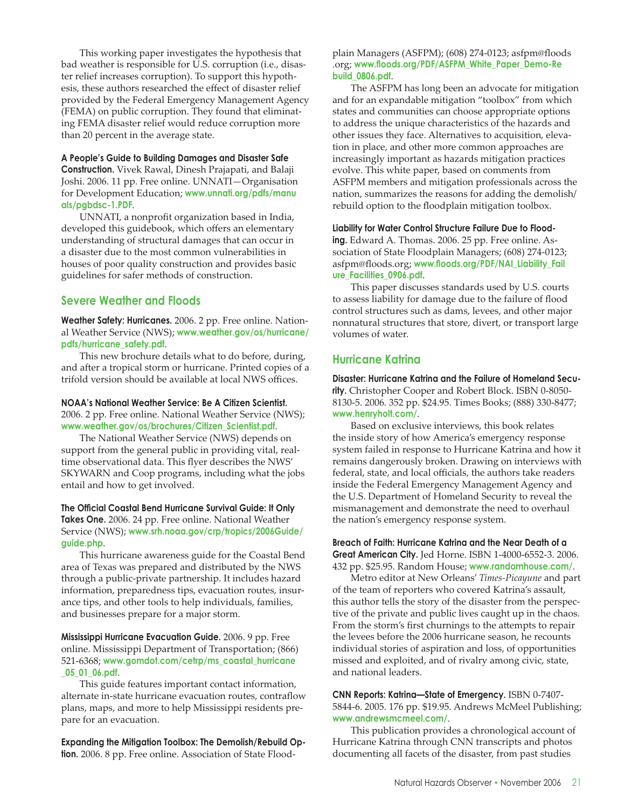This working paper investigates the hypothesis that bad weather is responsible for U.S. corruption (i.e., disaster relief increases corruption). To support this hypothesis, these authors researched the effect of disaster relief provided by the Federal Emergency Management Agency (FEMA) on public corruption. They found that eliminating FEMA disaster relief would reduce corruption more than 20 percent in the average state.

#### **A People's Guide to Building Damages and Disaster Safe**

**Construction.** Vivek Rawal, Dinesh Prajapati, and Balaji Joshi. 2006. 11 pp. Free online. UNNATI—Organisation for Development Education; **www.unnati.org/pdfs/manu als/pgbdsc-1.PDF**.

UNNATI, a nonprofit organization based in India, developed this guidebook, which offers an elementary understanding of structural damages that can occur in a disaster due to the most common vulnerabilities in houses of poor quality construction and provides basic guidelines for safer methods of construction.

# **Severe Weather and Floods**

**Weather Safety: Hurricanes.** 2006. 2 pp. Free online. National Weather Service (NWS); **www.weather.gov/os/hurricane/ pdfs/hurricane\_safety.pdf**.

This new brochure details what to do before, during, and after a tropical storm or hurricane. Printed copies of a trifold version should be available at local NWS offices.

#### **NOAA's National Weather Service: Be A Citizen Scientist.** 2006. 2 pp. Free online. National Weather Service (NWS); **www.weather.gov/os/brochures/Citizen\_Scientist.pdf**.

The National Weather Service (NWS) depends on support from the general public in providing vital, realtime observational data. This flyer describes the NWS' SKYWARN and Coop programs, including what the jobs entail and how to get involved.

**The Official Coastal Bend Hurricane Survival Guide: It Only Takes One.** 2006. 24 pp. Free online. National Weather Service (NWS); **www.srh.noaa.gov/crp/tropics/2006Guide/ guide.php**.

This hurricane awareness guide for the Coastal Bend area of Texas was prepared and distributed by the NWS through a public-private partnership. It includes hazard information, preparedness tips, evacuation routes, insurance tips, and other tools to help individuals, families, and businesses prepare for a major storm.

**Mississippi Hurricane Evacuation Guide.** 2006. 9 pp. Free online. Mississippi Department of Transportation; (866) 521-6368; **www.gomdot.com/cetrp/ms\_coastal\_hurricane \_05\_01\_06.pdf**.

This guide features important contact information, alternate in-state hurricane evacuation routes, contraflow plans, maps, and more to help Mississippi residents prepare for an evacuation.

**Expanding the Mitigation Toolbox: The Demolish/Rebuild Option.** 2006. 8 pp. Free online. Association of State Floodplain Managers (ASFPM); (608) 274-0123; asfpm@floods .org; **www.fl oods.org/PDF/ASFPM\_White\_Paper\_Demo-Re build\_0806.pdf**.

The ASFPM has long been an advocate for mitigation and for an expandable mitigation "toolbox" from which states and communities can choose appropriate options to address the unique characteristics of the hazards and other issues they face. Alternatives to acquisition, elevation in place, and other more common approaches are increasingly important as hazards mitigation practices evolve. This white paper, based on comments from ASFPM members and mitigation professionals across the nation, summarizes the reasons for adding the demolish/ rebuild option to the floodplain mitigation toolbox.

#### **Liability for Water Control Structure Failure Due to Flood-**

**ing.** Edward A. Thomas. 2006. 25 pp. Free online. Association of State Floodplain Managers; (608) 274-0123; asfpm@fl oods.org; **www.fl oods.org/PDF/NAI\_Liability\_Fail ure\_Facilities\_0906.pdf**.

This paper discusses standards used by U.S. courts to assess liability for damage due to the failure of flood control structures such as dams, levees, and other major nonnatural structures that store, divert, or transport large volumes of water.

# **Hurricane Katrina**

**Disaster: Hurricane Katrina and the Failure of Homeland Security.** Christopher Cooper and Robert Block. ISBN 0-8050- 8130-5. 2006. 352 pp. \$24.95. Times Books; (888) 330-8477; **www.henryholt.com/**.

Based on exclusive interviews, this book relates the inside story of how America's emergency response system failed in response to Hurricane Katrina and how it remains dangerously broken. Drawing on interviews with federal, state, and local officials, the authors take readers inside the Federal Emergency Management Agency and the U.S. Department of Homeland Security to reveal the mismanagement and demonstrate the need to overhaul the nation's emergency response system.

**Breach of Faith: Hurricane Katrina and the Near Death of a Great American City.** Jed Horne. ISBN 1-4000-6552-3. 2006. 432 pp. \$25.95. Random House; **www.randomhouse.com/**.

Metro editor at New Orleans' *Times-Picayune* and part of the team of reporters who covered Katrina's assault, this author tells the story of the disaster from the perspective of the private and public lives caught up in the chaos. From the storm's first churnings to the attempts to repair the levees before the 2006 hurricane season, he recounts individual stories of aspiration and loss, of opportunities missed and exploited, and of rivalry among civic, state, and national leaders.

**CNN Reports: Katrina—State of Emergency.** ISBN 0-7407- 5844-6. 2005. 176 pp. \$19.95. Andrews McMeel Publishing; **www.andrewsmcmeel.com/**.

This publication provides a chronological account of Hurricane Katrina through CNN transcripts and photos documenting all facets of the disaster, from past studies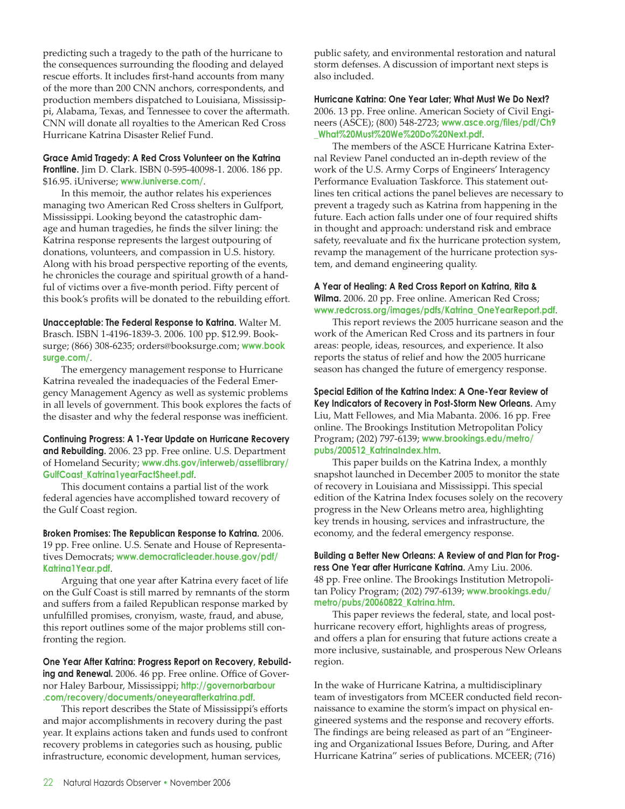predicting such a tragedy to the path of the hurricane to the consequences surrounding the flooding and delayed rescue efforts. It includes first-hand accounts from many of the more than 200 CNN anchors, correspondents, and production members dispatched to Louisiana, Mississippi, Alabama, Texas, and Tennessee to cover the aftermath. CNN will donate all royalties to the American Red Cross Hurricane Katrina Disaster Relief Fund.

#### **Grace Amid Tragedy: A Red Cross Volunteer on the Katrina Frontline.** Jim D. Clark. ISBN 0-595-40098-1. 2006. 186 pp. \$16.95. iUniverse; **www.iuniverse.com/**.

In this memoir, the author relates his experiences managing two American Red Cross shelters in Gulfport, Mississippi. Looking beyond the catastrophic damage and human tragedies, he finds the silver lining: the Katrina response represents the largest outpouring of donations, volunteers, and compassion in U.S. history. Along with his broad perspective reporting of the events, he chronicles the courage and spiritual growth of a handful of victims over a five-month period. Fifty percent of this book's profits will be donated to the rebuilding effort.

**Unacceptable: The Federal Response to Katrina.** Walter M. Brasch. ISBN 1-4196-1839-3. 2006. 100 pp. \$12.99. Booksurge; (866) 308-6235; orders@booksurge.com; **www.book surge.com/**.

The emergency management response to Hurricane Katrina revealed the inadequacies of the Federal Emergency Management Agency as well as systemic problems in all levels of government. This book explores the facts of the disaster and why the federal response was inefficient.

**Continuing Progress: A 1-Year Update on Hurricane Recovery and Rebuilding.** 2006. 23 pp. Free online. U.S. Department of Homeland Security; **www.dhs.gov/interweb/assetlibrary/ GulfCoast\_Katrina1yearFactSheet.pdf**.

This document contains a partial list of the work federal agencies have accomplished toward recovery of the Gulf Coast region.

**Broken Promises: The Republican Response to Katrina.** 2006. 19 pp. Free online. U.S. Senate and House of Representatives Democrats; **www.democraticleader.house.gov/pdf/ Katrina1Year.pdf**.

Arguing that one year after Katrina every facet of life on the Gulf Coast is still marred by remnants of the storm and suffers from a failed Republican response marked by unfulfilled promises, cronyism, waste, fraud, and abuse, this report outlines some of the major problems still confronting the region.

#### **One Year After Katrina: Progress Report on Recovery, Rebuild**ing and Renewal. 2006. 46 pp. Free online. Office of Governor Haley Barbour, Mississippi; **http://governorbarbour .com/recovery/documents/oneyearafterkatrina.pdf**.

This report describes the State of Mississippi's efforts and major accomplishments in recovery during the past year. It explains actions taken and funds used to confront recovery problems in categories such as housing, public infrastructure, economic development, human services,

public safety, and environmental restoration and natural storm defenses. A discussion of important next steps is also included.

#### **Hurricane Katrina: One Year Later; What Must We Do Next?** 2006. 13 pp. Free online. American Society of Civil Engineers (ASCE); (800) 548-2723; **www.asce.org/fi les/pdf/Ch9 \_What%20Must%20We%20Do%20Next.pdf**.

The members of the ASCE Hurricane Katrina External Review Panel conducted an in-depth review of the work of the U.S. Army Corps of Engineers' Interagency Performance Evaluation Taskforce. This statement outlines ten critical actions the panel believes are necessary to prevent a tragedy such as Katrina from happening in the future. Each action falls under one of four required shifts in thought and approach: understand risk and embrace safety, reevaluate and fix the hurricane protection system, revamp the management of the hurricane protection system, and demand engineering quality.

#### **A Year of Healing: A Red Cross Report on Katrina, Rita & Wilma.** 2006. 20 pp. Free online. American Red Cross; **www.redcross.org/images/pdfs/Katrina\_OneYearReport.pdf**.

This report reviews the 2005 hurricane season and the work of the American Red Cross and its partners in four areas: people, ideas, resources, and experience. It also reports the status of relief and how the 2005 hurricane season has changed the future of emergency response.

**Special Edition of the Katrina Index: A One-Year Review of Key Indicators of Recovery in Post-Storm New Orleans.** Amy Liu, Matt Fellowes, and Mia Mabanta. 2006. 16 pp. Free online. The Brookings Institution Metropolitan Policy Program; (202) 797-6139; **www.brookings.edu/metro/ pubs/200512\_KatrinaIndex.htm**.

This paper builds on the Katrina Index, a monthly snapshot launched in December 2005 to monitor the state of recovery in Louisiana and Mississippi. This special edition of the Katrina Index focuses solely on the recovery progress in the New Orleans metro area, highlighting key trends in housing, services and infrastructure, the economy, and the federal emergency response.

**Building a Better New Orleans: A Review of and Plan for Progress One Year after Hurricane Katrina.** Amy Liu. 2006. 48 pp. Free online. The Brookings Institution Metropolitan Policy Program; (202) 797-6139; **www.brookings.edu/ metro/pubs/20060822\_Katrina.htm**.

This paper reviews the federal, state, and local posthurricane recovery effort, highlights areas of progress, and offers a plan for ensuring that future actions create a more inclusive, sustainable, and prosperous New Orleans region.

In the wake of Hurricane Katrina, a multidisciplinary team of investigators from MCEER conducted field reconnaissance to examine the storm's impact on physical engineered systems and the response and recovery efforts. The findings are being released as part of an "Engineering and Organizational Issues Before, During, and After Hurricane Katrina" series of publications. MCEER; (716)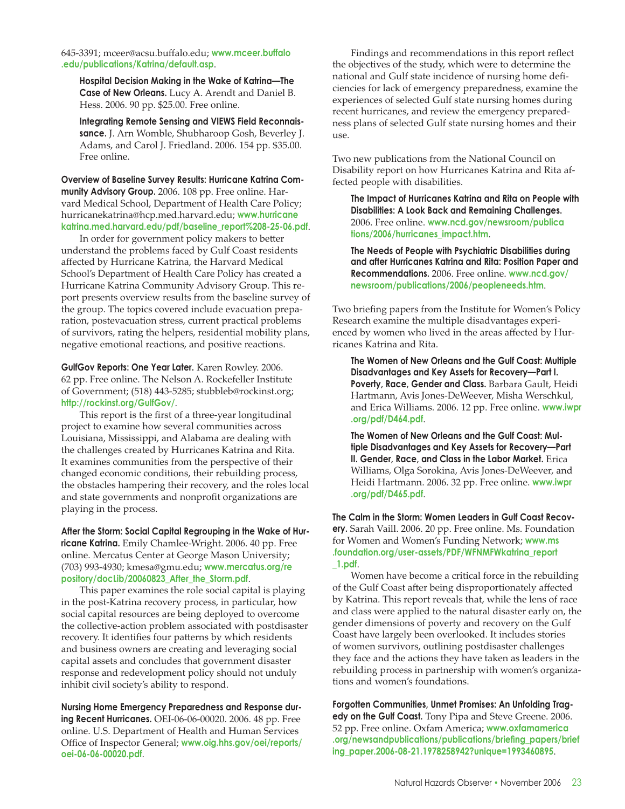#### 645-3391; mceer@acsu.buff alo.edu; **www.mceer.buffalo .edu/publications/Katrina/default.asp**.

**Hospital Decision Making in the Wake of Katrina—The Case of New Orleans.** Lucy A. Arendt and Daniel B. Hess. 2006. 90 pp. \$25.00. Free online.

**Integrating Remote Sensing and VIEWS Field Reconnaissance.** J. Arn Womble, Shubharoop Gosh, Beverley J. Adams, and Carol J. Friedland. 2006. 154 pp. \$35.00. Free online.

**Overview of Baseline Survey Results: Hurricane Katrina Community Advisory Group.** 2006. 108 pp. Free online. Harvard Medical School, Department of Health Care Policy; hurricanekatrina@hcp.med.harvard.edu; **www.hurricane katrina.med.harvard.edu/pdf/baseline\_report%208-25-06.pdf**.

In order for government policy makers to better understand the problems faced by Gulf Coast residents affected by Hurricane Katrina, the Harvard Medical School's Department of Health Care Policy has created a Hurricane Katrina Community Advisory Group. This report presents overview results from the baseline survey of the group. The topics covered include evacuation preparation, postevacuation stress, current practical problems of survivors, rating the helpers, residential mobility plans, negative emotional reactions, and positive reactions.

**GulfGov Reports: One Year Later.** Karen Rowley. 2006. 62 pp. Free online. The Nelson A. Rockefeller Institute of Government; (518) 443-5285; stubbleb@rockinst.org; **http://rockinst.org/GulfGov/**.

This report is the first of a three-year longitudinal project to examine how several communities across Louisiana, Mississippi, and Alabama are dealing with the challenges created by Hurricanes Katrina and Rita. It examines communities from the perspective of their changed economic conditions, their rebuilding process, the obstacles hampering their recovery, and the roles local and state governments and nonprofit organizations are playing in the process.

**After the Storm: Social Capital Regrouping in the Wake of Hurricane Katrina.** Emily Chamlee-Wright. 2006. 40 pp. Free online. Mercatus Center at George Mason University; (703) 993-4930; kmesa@gmu.edu; **www.mercatus.org/re pository/docLib/20060823\_After\_the\_Storm.pdf**.

This paper examines the role social capital is playing in the post-Katrina recovery process, in particular, how social capital resources are being deployed to overcome the collective-action problem associated with postdisaster recovery. It identifies four patterns by which residents and business owners are creating and leveraging social capital assets and concludes that government disaster response and redevelopment policy should not unduly inhibit civil society's ability to respond.

**Nursing Home Emergency Preparedness and Response during Recent Hurricanes.** OEI-06-06-00020. 2006. 48 pp. Free online. U.S. Department of Health and Human Services Office of Inspector General; www.oig.hhs.gov/oei/reports/ **oei-06-06-00020.pdf**.

Findings and recommendations in this report reflect the objectives of the study, which were to determine the national and Gulf state incidence of nursing home deficiencies for lack of emergency preparedness, examine the experiences of selected Gulf state nursing homes during recent hurricanes, and review the emergency preparedness plans of selected Gulf state nursing homes and their use.

Two new publications from the National Council on Disability report on how Hurricanes Katrina and Rita affected people with disabilities.

**The Impact of Hurricanes Katrina and Rita on People with Disabilities: A Look Back and Remaining Challenges.** 2006. Free online. **www.ncd.gov/newsroom/publica tions/2006/hurricanes\_impact.htm**.

**The Needs of People with Psychiatric Disabilities during and after Hurricanes Katrina and Rita: Position Paper and Recommendations.** 2006. Free online. **www.ncd.gov/ newsroom/publications/2006/peopleneeds.htm**.

Two briefing papers from the Institute for Women's Policy Research examine the multiple disadvantages experienced by women who lived in the areas affected by Hurricanes Katrina and Rita.

**The Women of New Orleans and the Gulf Coast: Multiple Disadvantages and Key Assets for Recovery—Part I. Poverty, Race, Gender and Class.** Barbara Gault, Heidi Hartmann, Avis Jones-DeWeever, Misha Werschkul, and Erica Williams. 2006. 12 pp. Free online. **www.iwpr .org/pdf/D464.pdf**.

**The Women of New Orleans and the Gulf Coast: Multiple Disadvantages and Key Assets for Recovery—Part II. Gender, Race, and Class in the Labor Market.** Erica Williams, Olga Sorokina, Avis Jones-DeWeever, and Heidi Hartmann. 2006. 32 pp. Free online. **www.iwpr .org/pdf/D465.pdf**.

**The Calm in the Storm: Women Leaders in Gulf Coast Recovery.** Sarah Vaill. 2006. 20 pp. Free online. Ms. Foundation for Women and Women's Funding Network; **www.ms .foundation.org/user-assets/PDF/WFNMFWkatrina\_report \_1.pdf**.

Women have become a critical force in the rebuilding of the Gulf Coast after being disproportionately affected by Katrina. This report reveals that, while the lens of race and class were applied to the natural disaster early on, the gender dimensions of poverty and recovery on the Gulf Coast have largely been overlooked. It includes stories of women survivors, outlining postdisaster challenges they face and the actions they have taken as leaders in the rebuilding process in partnership with women's organizations and women's foundations.

**Forgotten Communities, Unmet Promises: An Unfolding Tragedy on the Gulf Coast.** Tony Pipa and Steve Greene. 2006. 52 pp. Free online. Oxfam America; **www.oxfamamerica .org/newsandpublications/publications/briefi ng\_papers/brief ing\_paper.2006-08-21.1978258942?unique=1993460895**.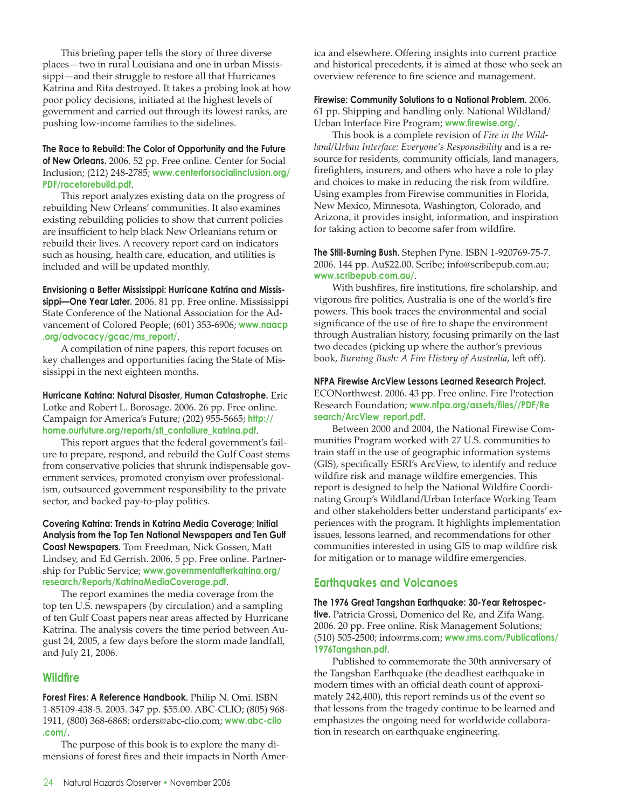This briefing paper tells the story of three diverse places—two in rural Louisiana and one in urban Mississippi—and their struggle to restore all that Hurricanes Katrina and Rita destroyed. It takes a probing look at how poor policy decisions, initiated at the highest levels of government and carried out through its lowest ranks, are pushing low-income families to the sidelines.

#### **The Race to Rebuild: The Color of Opportunity and the Future of New Orleans.** 2006. 52 pp. Free online. Center for Social Inclusion; (212) 248-2785; **www.centerforsocialinclusion.org/ PDF/racetorebuild.pdf**.

This report analyzes existing data on the progress of rebuilding New Orleans' communities. It also examines existing rebuilding policies to show that current policies are insufficient to help black New Orleanians return or rebuild their lives. A recovery report card on indicators such as housing, health care, education, and utilities is included and will be updated monthly.

#### **Envisioning a Better Mississippi: Hurricane Katrina and Missis-**

**sippi—One Year Later.** 2006. 81 pp. Free online. Mississippi State Conference of the National Association for the Advancement of Colored People; (601) 353-6906; **www.naacp .org/advocacy/gcac/ms\_report/**.

A compilation of nine papers, this report focuses on key challenges and opportunities facing the State of Mississippi in the next eighteen months.

**Hurricane Katrina: Natural Disaster, Human Catastrophe.** Eric Lotke and Robert L. Borosage. 2006. 26 pp. Free online. Campaign for America's Future; (202) 955-5665; **http:// home.ourfuture.org/reports/stl\_confailure\_katrina.pdf**.

This report argues that the federal government's failure to prepare, respond, and rebuild the Gulf Coast stems from conservative policies that shrunk indispensable government services, promoted cronyism over professionalism, outsourced government responsibility to the private sector, and backed pay-to-play politics.

**Covering Katrina: Trends in Katrina Media Coverage; Initial Analysis from the Top Ten National Newspapers and Ten Gulf Coast Newspapers.** Tom Freedman, Nick Gossen, Matt Lindsey, and Ed Gerrish. 2006. 5 pp. Free online. Partnership for Public Service; **www.governmentafterkatrina.org/ research/Reports/KatrinaMediaCoverage.pdf**.

The report examines the media coverage from the top ten U.S. newspapers (by circulation) and a sampling of ten Gulf Coast papers near areas affected by Hurricane Katrina. The analysis covers the time period between August 24, 2005, a few days before the storm made landfall, and July 21, 2006.

# **Wildfire**

**Forest Fires: A Reference Handbook.** Philip N. Omi. ISBN 1-85109-438-5. 2005. 347 pp. \$55.00. ABC-CLIO; (805) 968- 1911, (800) 368-6868; orders@abc-clio.com; **www.abc-clio .com/**.

The purpose of this book is to explore the many dimensions of forest fires and their impacts in North Amer-

ica and elsewhere. Offering insights into current practice and historical precedents, it is aimed at those who seek an overview reference to fire science and management.

#### **Firewise: Community Solutions to a National Problem.** 2006. 61 pp. Shipping and handling only. National Wildland/ Urban Interface Fire Program; www.firewise.org/.

This book is a complete revision of *Fire in the Wildland/Urban Interface: Everyone's Responsibility* and is a resource for residents, community officials, land managers, firefighters, insurers, and others who have a role to play and choices to make in reducing the risk from wildfire. Using examples from Firewise communities in Florida, New Mexico, Minnesota, Washington, Colorado, and Arizona, it provides insight, information, and inspiration for taking action to become safer from wildfire.

#### **The Still-Burning Bush.** Stephen Pyne. ISBN 1-920769-75-7. 2006. 144 pp. Au\$22.00. Scribe; info@scribepub.com.au; **www.scribepub.com.au/**.

With bushfires, fire institutions, fire scholarship, and vigorous fire politics, Australia is one of the world's fire powers. This book traces the environmental and social significance of the use of fire to shape the environment through Australian history, focusing primarily on the last two decades (picking up where the author's previous book, *Burning Bush: A Fire History of Australia*, left off).

#### **NFPA Firewise ArcView Lessons Learned Research Project.** ECONorthwest. 2006. 43 pp. Free online. Fire Protection Research Foundation; www.nfpa.org/assets/files//PDF/Re **search/ArcView\_report.pdf**.

Between 2000 and 2004, the National Firewise Communities Program worked with 27 U.S. communities to train staff in the use of geographic information systems (GIS), specifically ESRI's ArcView, to identify and reduce wildfire risk and manage wildfire emergencies. This report is designed to help the National Wildfire Coordinating Group's Wildland/Urban Interface Working Team and other stakeholders better understand participants' experiences with the program. It highlights implementation issues, lessons learned, and recommendations for other communities interested in using GIS to map wildfire risk for mitigation or to manage wildfire emergencies.

# **Earthquakes and Volcanoes**

**The 1976 Great Tangshan Earthquake: 30-Year Retrospective.** Patricia Grossi, Domenico del Re, and Zifa Wang. 2006. 20 pp. Free online. Risk Management Solutions; (510) 505-2500; info@rms.com; **www.rms.com/Publications/ 1976Tangshan.pdf**.

Published to commemorate the 30th anniversary of the Tangshan Earthquake (the deadliest earthquake in modern times with an official death count of approximately 242,400), this report reminds us of the event so that lessons from the tragedy continue to be learned and emphasizes the ongoing need for worldwide collaboration in research on earthquake engineering.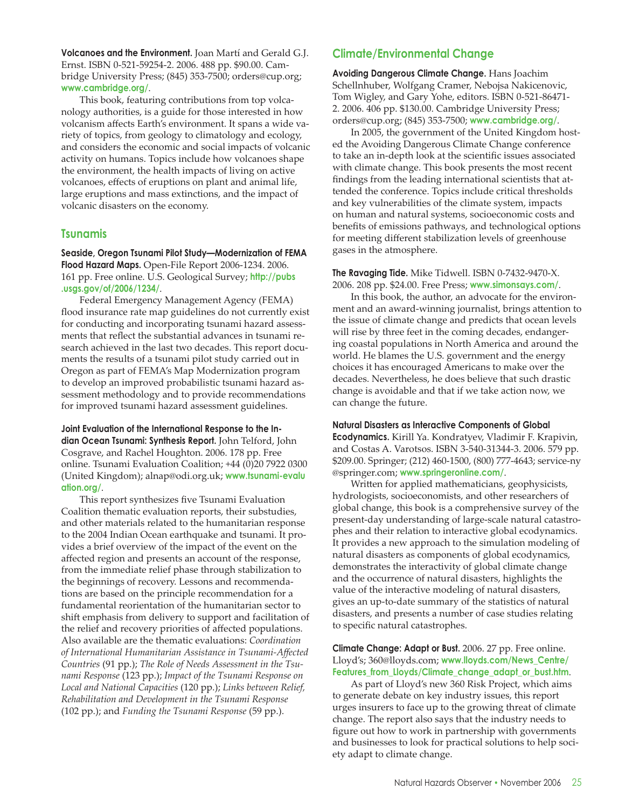**Volcanoes and the Environment.** Joan Martí and Gerald G.J. Ernst. ISBN 0-521-59254-2. 2006. 488 pp. \$90.00. Cambridge University Press; (845) 353-7500; orders@cup.org; **www.cambridge.org/**.

This book, featuring contributions from top volcanology authorities, is a guide for those interested in how volcanism affects Earth's environment. It spans a wide variety of topics, from geology to climatology and ecology, and considers the economic and social impacts of volcanic activity on humans. Topics include how volcanoes shape the environment, the health impacts of living on active volcanoes, effects of eruptions on plant and animal life, large eruptions and mass extinctions, and the impact of volcanic disasters on the economy.

# **Tsunamis**

**Seaside, Oregon Tsunami Pilot Study—Modernization of FEMA Flood Hazard Maps.** Open-File Report 2006-1234. 2006. 161 pp. Free online. U.S. Geological Survey; **http://pubs .usgs.gov/of/2006/1234/**.

Federal Emergency Management Agency (FEMA) flood insurance rate map guidelines do not currently exist for conducting and incorporating tsunami hazard assessments that reflect the substantial advances in tsunami research achieved in the last two decades. This report documents the results of a tsunami pilot study carried out in Oregon as part of FEMA's Map Modernization program to develop an improved probabilistic tsunami hazard assessment methodology and to provide recommendations for improved tsunami hazard assessment guidelines.

**Joint Evaluation of the International Response to the Indian Ocean Tsunami: Synthesis Report.** John Telford, John Cosgrave, and Rachel Houghton. 2006. 178 pp. Free online. Tsunami Evaluation Coalition; +44 (0)20 7922 0300 (United Kingdom); alnap@odi.org.uk; **www.tsunami-evalu ation.org/**.

This report synthesizes five Tsunami Evaluation Coalition thematic evaluation reports, their substudies, and other materials related to the humanitarian response to the 2004 Indian Ocean earthquake and tsunami. It provides a brief overview of the impact of the event on the affected region and presents an account of the response, from the immediate relief phase through stabilization to the beginnings of recovery. Lessons and recommendations are based on the principle recommendation for a fundamental reorientation of the humanitarian sector to shift emphasis from delivery to support and facilitation of the relief and recovery priorities of affected populations. Also available are the thematic evaluations: *Coordination*  of International Humanitarian Assistance in Tsunami-Affected *Countries* (91 pp.); *The Role of Needs Assessment in the Tsunami Response* (123 pp.); *Impact of the Tsunami Response on Local and National Capacities* (120 pp.); *Links between Relief, Rehabilitation and Development in the Tsunami Response* (102 pp.); and *Funding the Tsunami Response* (59 pp.).

# **Climate/Environmental Change**

**Avoiding Dangerous Climate Change.** Hans Joachim Schellnhuber, Wolfgang Cramer, Nebojsa Nakicenovic, Tom Wigley, and Gary Yohe, editors. ISBN 0-521-86471- 2. 2006. 406 pp. \$130.00. Cambridge University Press; orders@cup.org; (845) 353-7500; **www.cambridge.org/**.

In 2005, the government of the United Kingdom hosted the Avoiding Dangerous Climate Change conference to take an in-depth look at the scientific issues associated with climate change. This book presents the most recent findings from the leading international scientists that attended the conference. Topics include critical thresholds and key vulnerabilities of the climate system, impacts on human and natural systems, socioeconomic costs and benefits of emissions pathways, and technological options for meeting different stabilization levels of greenhouse gases in the atmosphere.

#### **The Ravaging Tide.** Mike Tidwell. ISBN 0-7432-9470-X. 2006. 208 pp. \$24.00. Free Press; **www.simonsays.com/**.

In this book, the author, an advocate for the environment and an award-winning journalist, brings attention to the issue of climate change and predicts that ocean levels will rise by three feet in the coming decades, endangering coastal populations in North America and around the world. He blames the U.S. government and the energy choices it has encouraged Americans to make over the decades. Nevertheless, he does believe that such drastic change is avoidable and that if we take action now, we can change the future.

#### **Natural Disasters as Interactive Components of Global**

**Ecodynamics.** Kirill Ya. Kondratyev, Vladimir F. Krapivin, and Costas A. Varotsos. ISBN 3-540-31344-3. 2006. 579 pp. \$209.00. Springer; (212) 460-1500, (800) 777-4643; service-ny @springer.com; **www.springeronline.com/**.

Written for applied mathematicians, geophysicists, hydrologists, socioeconomists, and other researchers of global change, this book is a comprehensive survey of the present-day understanding of large-scale natural catastrophes and their relation to interactive global ecodynamics. It provides a new approach to the simulation modeling of natural disasters as components of global ecodynamics, demonstrates the interactivity of global climate change and the occurrence of natural disasters, highlights the value of the interactive modeling of natural disasters, gives an up-to-date summary of the statistics of natural disasters, and presents a number of case studies relating to specific natural catastrophes.

#### **Climate Change: Adapt or Bust.** 2006. 27 pp. Free online. Lloyd's; 360@lloyds.com; **www.lloyds.com/News\_Centre/ Features\_from\_Lloyds/Climate\_change\_adapt\_or\_bust.htm**.

As part of Lloyd's new 360 Risk Project, which aims to generate debate on key industry issues, this report urges insurers to face up to the growing threat of climate change. The report also says that the industry needs to figure out how to work in partnership with governments and businesses to look for practical solutions to help society adapt to climate change.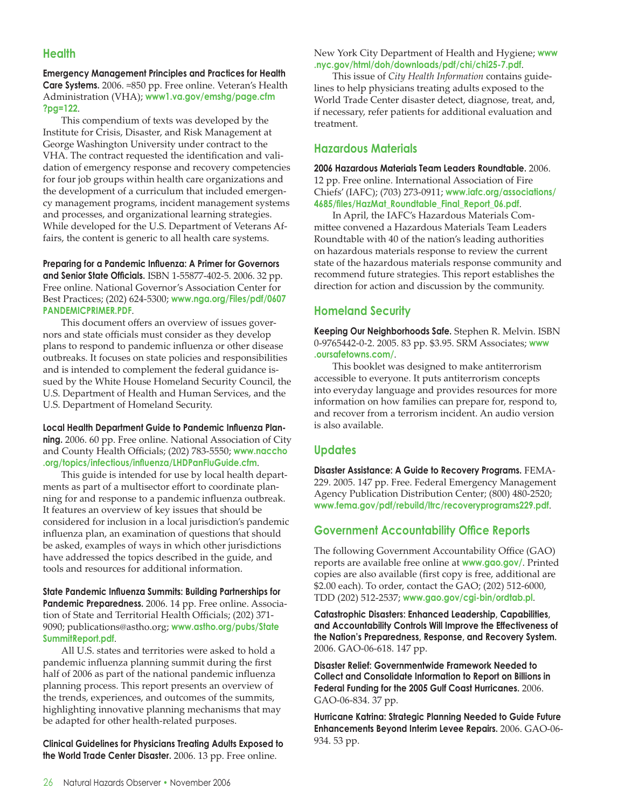# **Health**

#### **Emergency Management Principles and Practices for Health Care Systems.** 2006. ≈850 pp. Free online. Veteran's Health Administration (VHA); **www1.va.gov/emshg/page.cfm ?pg=122**.

This compendium of texts was developed by the Institute for Crisis, Disaster, and Risk Management at George Washington University under contract to the VHA. The contract requested the identification and validation of emergency response and recovery competencies for four job groups within health care organizations and the development of a curriculum that included emergency management programs, incident management systems and processes, and organizational learning strategies. While developed for the U.S. Department of Veterans Affairs, the content is generic to all health care systems.

Preparing for a Pandemic Influenza: A Primer for Governors and Senior State Officials. ISBN 1-55877-402-5. 2006. 32 pp. Free online. National Governor's Association Center for Best Practices; (202) 624-5300; **www.nga.org/Files/pdf/0607 PANDEMICPRIMER.PDF**.

This document offers an overview of issues governors and state officials must consider as they develop plans to respond to pandemic influenza or other disease outbreaks. It focuses on state policies and responsibilities and is intended to complement the federal guidance issued by the White House Homeland Security Council, the U.S. Department of Health and Human Services, and the U.S. Department of Homeland Security.

#### Local Health Department Guide to Pandemic Influenza Plan**ning.** 2006. 60 pp. Free online. National Association of City and County Health Officials; (202) 783-5550; www.naccho **.org/topics/infectious/infl uenza/LHDPanFluGuide.cfm**.

This guide is intended for use by local health departments as part of a multisector effort to coordinate planning for and response to a pandemic influenza outbreak. It features an overview of key issues that should be considered for inclusion in a local jurisdiction's pandemic influenza plan, an examination of questions that should be asked, examples of ways in which other jurisdictions have addressed the topics described in the guide, and tools and resources for additional information.

#### **State Pandemic Influenza Summits: Building Partnerships for Pandemic Preparedness.** 2006. 14 pp. Free online. Association of State and Territorial Health Officials; (202) 371-9090; publications@astho.org; **www.astho.org/pubs/State SummitReport.pdf**.

All U.S. states and territories were asked to hold a pandemic influenza planning summit during the first half of 2006 as part of the national pandemic influenza planning process. This report presents an overview of the trends, experiences, and outcomes of the summits, highlighting innovative planning mechanisms that may be adapted for other health-related purposes.

**Clinical Guidelines for Physicians Treating Adults Exposed to the World Trade Center Disaster.** 2006. 13 pp. Free online.

New York City Department of Health and Hygiene; **www .nyc.gov/html/doh/downloads/pdf/chi/chi25-7.pdf**.

This issue of *City Health Information* contains guidelines to help physicians treating adults exposed to the World Trade Center disaster detect, diagnose, treat, and, if necessary, refer patients for additional evaluation and treatment.

# **Hazardous Materials**

**2006 Hazardous Materials Team Leaders Roundtable.** 2006. 12 pp. Free online. International Association of Fire Chiefs' (IAFC); (703) 273-0911; **www.iafc.org/associations/ 4685/fi les/HazMat\_Roundtable\_Final\_Report\_06.pdf**.

In April, the IAFC's Hazardous Materials Committee convened a Hazardous Materials Team Leaders Roundtable with 40 of the nation's leading authorities on hazardous materials response to review the current state of the hazardous materials response community and recommend future strategies. This report establishes the direction for action and discussion by the community.

# **Homeland Security**

**Keeping Our Neighborhoods Safe.** Stephen R. Melvin. ISBN 0-9765442-0-2. 2005. 83 pp. \$3.95. SRM Associates; **www .oursafetowns.com/**.

This booklet was designed to make antiterrorism accessible to everyone. It puts antiterrorism concepts into everyday language and provides resources for more information on how families can prepare for, respond to, and recover from a terrorism incident. An audio version is also available.

# **Updates**

**Disaster Assistance: A Guide to Recovery Programs.** FEMA-229. 2005. 147 pp. Free. Federal Emergency Management Agency Publication Distribution Center; (800) 480-2520; **www.fema.gov/pdf/rebuild/ltrc/recoveryprograms229.pdf**.

# **Government Accountability Office Reports**

The following Government Accountability Office (GAO) reports are available free online at **www.gao.gov/**. Printed copies are also available (first copy is free, additional are \$2.00 each). To order, contact the GAO; (202) 512-6000, TDD (202) 512-2537; **www.gao.gov/cgi-bin/ordtab.pl**.

**Catastrophic Disasters: Enhanced Leadership, Capabilities, and Accountability Controls Will Improve the Effectiveness of the Nation's Preparedness, Response, and Recovery System.** 2006. GAO-06-618. 147 pp.

**Disaster Relief: Governmentwide Framework Needed to Collect and Consolidate Information to Report on Billions in Federal Funding for the 2005 Gulf Coast Hurricanes.** 2006. GAO-06-834. 37 pp.

**Hurricane Katrina: Strategic Planning Needed to Guide Future Enhancements Beyond Interim Levee Repairs.** 2006. GAO-06- 934. 53 pp.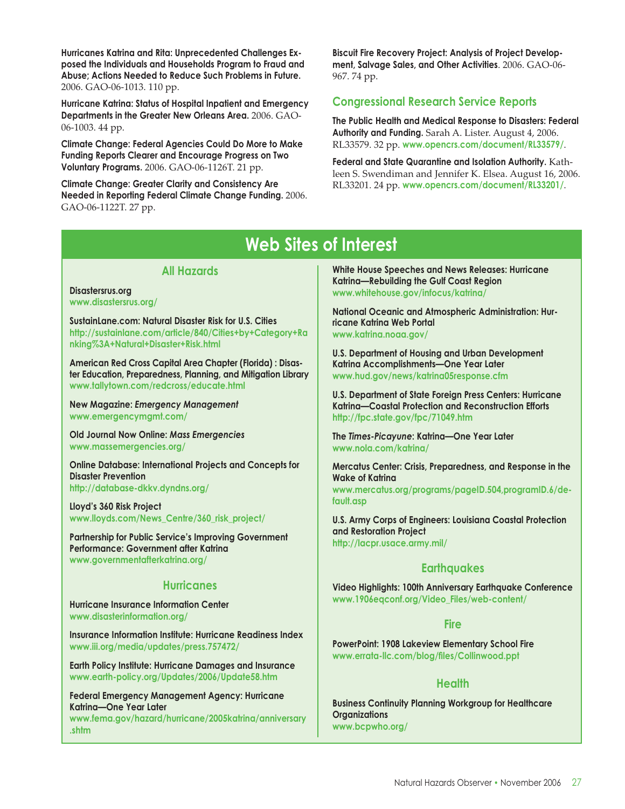**Hurricanes Katrina and Rita: Unprecedented Challenges Exposed the Individuals and Households Program to Fraud and Abuse; Actions Needed to Reduce Such Problems in Future.** 2006. GAO-06-1013. 110 pp.

**Hurricane Katrina: Status of Hospital Inpatient and Emergency Departments in the Greater New Orleans Area.** 2006. GAO-06-1003. 44 pp.

**Climate Change: Federal Agencies Could Do More to Make Funding Reports Clearer and Encourage Progress on Two Voluntary Programs.** 2006. GAO-06-1126T. 21 pp.

**Climate Change: Greater Clarity and Consistency Are Needed in Reporting Federal Climate Change Funding.** 2006. GAO-06-1122T. 27 pp.

**Biscuit Fire Recovery Project: Analysis of Project Development, Salvage Sales, and Other Activities**. 2006. GAO-06- 967. 74 pp.

# **Congressional Research Service Reports**

**The Public Health and Medical Response to Disasters: Federal Authority and Funding.** Sarah A. Lister. August 4, 2006. RL33579. 32 pp. **www.opencrs.com/document/RL33579/**.

**Federal and State Quarantine and Isolation Authority.** Kathleen S. Swendiman and Jennifer K. Elsea. August 16, 2006. RL33201. 24 pp. **www.opencrs.com/document/RL33201/**.

# **Web Sites of Interest**

# **All Hazards**

#### **Disastersrus.org www.disastersrus.org/**

**SustainLane.com: Natural Disaster Risk for U.S. Cities http://sustainlane.com/article/840/Cities+by+Category+Ra nking%3A+Natural+Disaster+Risk.html**

**American Red Cross Capital Area Chapter (Florida) : Disaster Education, Preparedness, Planning, and Mitigation Library www.tallytown.com/redcross/educate.html**

**New Magazine:** *Emergency Management* **www.emergencymgmt.com/**

**Old Journal Now Online:** *Mass Emergencies* **www.massemergencies.org/**

**Online Database: International Projects and Concepts for Disaster Prevention http://database-dkkv.dyndns.org/**

**Lloyd's 360 Risk Project www.lloyds.com/News\_Centre/360\_risk\_project/**

**Partnership for Public Service's Improving Government Performance: Government after Katrina www.governmentafterkatrina.org/**

# **Hurricanes**

**Hurricane Insurance Information Center www.disasterinformation.org/**

**Insurance Information Institute: Hurricane Readiness Index www.iii.org/media/updates/press.757472/**

**Earth Policy Institute: Hurricane Damages and Insurance www.earth-policy.org/Updates/2006/Update58.htm**

**Federal Emergency Management Agency: Hurricane Katrina—One Year Later**

**www.fema.gov/hazard/hurricane/2005katrina/anniversary .shtm**

**White House Speeches and News Releases: Hurricane Katrina—Rebuilding the Gulf Coast Region www.whitehouse.gov/infocus/katrina/**

**National Oceanic and Atmospheric Administration: Hurricane Katrina Web Portal www.katrina.noaa.gov/**

**U.S. Department of Housing and Urban Development Katrina Accomplishments—One Year Later www.hud.gov/news/katrina05response.cfm**

**U.S. Department of State Foreign Press Centers: Hurricane Katrina—Coastal Protection and Reconstruction Efforts http://fpc.state.gov/fpc/71049.htm**

**The** *Times-Picayune***: Katrina—One Year Later www.nola.com/katrina/**

**Mercatus Center: Crisis, Preparedness, and Response in the Wake of Katrina www.mercatus.org/programs/pageID.504,programID.6/default.asp**

**U.S. Army Corps of Engineers: Louisiana Coastal Protection and Restoration Project http://lacpr.usace.army.mil/**

# **Earthquakes**

**Video Highlights: 100th Anniversary Earthquake Conference www.1906eqconf.org/Video\_Files/web-content/**

#### **Fire**

**PowerPoint: 1908 Lakeview Elementary School Fire** www.errata-llc.com/blog/files/Collinwood.ppt

# **Health**

**Business Continuity Planning Workgroup for Healthcare Organizations www.bcpwho.org/**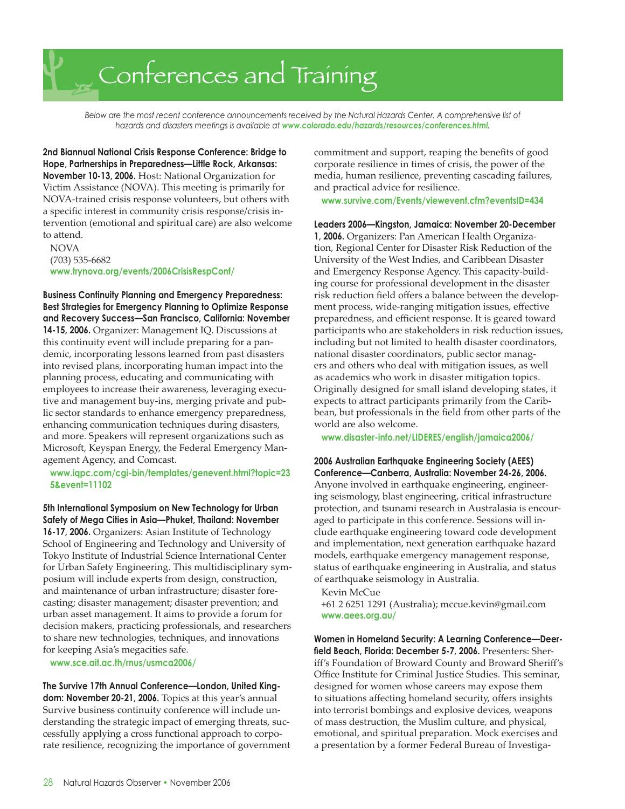# Conferences and Training

*Below are the most recent conference announcements received by the Natural Hazards Center. A comprehensive list of hazards and disasters meetings is available at www.colorado.edu/hazards/resources/conferences.html.*

**2nd Biannual National Crisis Response Conference: Bridge to Hope, Partnerships in Preparedness—Little Rock, Arkansas: November 10-13, 2006.** Host: National Organization for Victim Assistance (NOVA). This meeting is primarily for NOVA-trained crisis response volunteers, but others with a specific interest in community crisis response/crisis intervention (emotional and spiritual care) are also welcome to attend.

NOVA (703) 535-6682 **www.trynova.org/events/2006CrisisRespConf/**

**Business Continuity Planning and Emergency Preparedness: Best Strategies for Emergency Planning to Optimize Response and Recovery Success—San Francisco, California: November 14-15, 2006.** Organizer: Management IQ. Discussions at this continuity event will include preparing for a pandemic, incorporating lessons learned from past disasters into revised plans, incorporating human impact into the planning process, educating and communicating with employees to increase their awareness, leveraging executive and management buy-ins, merging private and public sector standards to enhance emergency preparedness, enhancing communication techniques during disasters, and more. Speakers will represent organizations such as Microsoft, Keyspan Energy, the Federal Emergency Management Agency, and Comcast.

**www.iqpc.com/cgi-bin/templates/genevent.html?topic=23 5&event=11102**

**5th International Symposium on New Technology for Urban Safety of Mega Cities in Asia—Phuket, Thailand: November 16-17, 2006.** Organizers: Asian Institute of Technology School of Engineering and Technology and University of Tokyo Institute of Industrial Science International Center for Urban Safety Engineering. This multidisciplinary symposium will include experts from design, construction, and maintenance of urban infrastructure; disaster forecasting; disaster management; disaster prevention; and

urban asset management. It aims to provide a forum for decision makers, practicing professionals, and researchers to share new technologies, techniques, and innovations for keeping Asia's megacities safe.

**www.sce.ait.ac.th/rnus/usmca2006/**

**The Survive 17th Annual Conference—London, United Kingdom: November 20-21, 2006.** Topics at this year's annual Survive business continuity conference will include understanding the strategic impact of emerging threats, successfully applying a cross functional approach to corporate resilience, recognizing the importance of government commitment and support, reaping the benefits of good corporate resilience in times of crisis, the power of the media, human resilience, preventing cascading failures, and practical advice for resilience.

**www.survive.com/Events/viewevent.cfm?eventsID=434**

#### **Leaders 2006—Kingston, Jamaica: November 20-December**

**1, 2006.** Organizers: Pan American Health Organization, Regional Center for Disaster Risk Reduction of the University of the West Indies, and Caribbean Disaster and Emergency Response Agency. This capacity-building course for professional development in the disaster risk reduction field offers a balance between the development process, wide-ranging mitigation issues, effective preparedness, and efficient response. It is geared toward participants who are stakeholders in risk reduction issues, including but not limited to health disaster coordinators, national disaster coordinators, public sector managers and others who deal with mitigation issues, as well as academics who work in disaster mitigation topics. Originally designed for small island developing states, it expects to attract participants primarily from the Caribbean, but professionals in the field from other parts of the world are also welcome.

**www.disaster-info.net/LIDERES/english/jamaica2006/**

**2006 Australian Earthquake Engineering Society (AEES) Conference—Canberra, Australia: November 24-26, 2006.** Anyone involved in earthquake engineering, engineering seismology, blast engineering, critical infrastructure protection, and tsunami research in Australasia is encouraged to participate in this conference. Sessions will include earthquake engineering toward code development and implementation, next generation earthquake hazard models, earthquake emergency management response, status of earthquake engineering in Australia, and status of earthquake seismology in Australia.

Kevin McCue +61 2 6251 1291 (Australia); mccue.kevin@gmail.com **www.aees.org.au/**

**Women in Homeland Security: A Learning Conference—Deer**field Beach, Florida: December 5-7, 2006. Presenters: Sheriff 's Foundation of Broward County and Broward Sheriff 's Office Institute for Criminal Justice Studies. This seminar, designed for women whose careers may expose them to situations affecting homeland security, offers insights into terrorist bombings and explosive devices, weapons of mass destruction, the Muslim culture, and physical, emotional, and spiritual preparation. Mock exercises and a presentation by a former Federal Bureau of Investiga-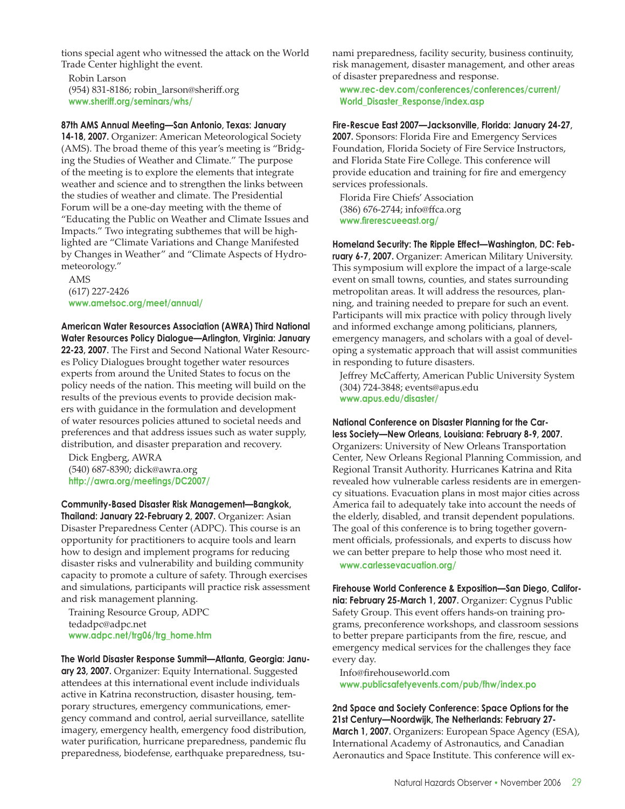tions special agent who witnessed the attack on the World Trade Center highlight the event.

Robin Larson (954) 831-8186; robin\_larson@sheriff.org **www.sheriff.org/seminars/whs/**

#### **87th AMS Annual Meeting—San Antonio, Texas: January**

**14-18, 2007.** Organizer: American Meteorological Society (AMS). The broad theme of this year's meeting is "Bridging the Studies of Weather and Climate." The purpose of the meeting is to explore the elements that integrate weather and science and to strengthen the links between the studies of weather and climate. The Presidential Forum will be a one-day meeting with the theme of "Educating the Public on Weather and Climate Issues and Impacts." Two integrating subthemes that will be highlighted are "Climate Variations and Change Manifested by Changes in Weather" and "Climate Aspects of Hydrometeorology."

AMS (617) 227-2426 **www.ametsoc.org/meet/annual/**

**American Water Resources Association (AWRA) Third National Water Resources Policy Dialogue—Arlington, Virginia: January 22-23, 2007.** The First and Second National Water Resources Policy Dialogues brought together water resources experts from around the United States to focus on the policy needs of the nation. This meeting will build on the results of the previous events to provide decision makers with guidance in the formulation and development of water resources policies attuned to societal needs and preferences and that address issues such as water supply, distribution, and disaster preparation and recovery.

Dick Engberg, AWRA (540) 687-8390; dick@awra.org **http://awra.org/meetings/DC2007/**

#### **Community-Based Disaster Risk Management—Bangkok,**

**Thailand: January 22-February 2, 2007.** Organizer: Asian Disaster Preparedness Center (ADPC). This course is an opportunity for practitioners to acquire tools and learn how to design and implement programs for reducing disaster risks and vulnerability and building community capacity to promote a culture of safety. Through exercises and simulations, participants will practice risk assessment and risk management planning.

Training Resource Group, ADPC tedadpc@adpc.net **www.adpc.net/trg06/trg\_home.htm**

**The World Disaster Response Summit—Atlanta, Georgia: January 23, 2007.** Organizer: Equity International. Suggested attendees at this international event include individuals active in Katrina reconstruction, disaster housing, temporary structures, emergency communications, emergency command and control, aerial surveillance, satellite imagery, emergency health, emergency food distribution, water purification, hurricane preparedness, pandemic flu preparedness, biodefense, earthquake preparedness, tsunami preparedness, facility security, business continuity, risk management, disaster management, and other areas of disaster preparedness and response.

**www.rec-dev.com/conferences/conferences/current/ World\_Disaster\_Response/index.asp**

#### **Fire-Rescue East 2007—Jacksonville, Florida: January 24-27,**

**2007.** Sponsors: Florida Fire and Emergency Services Foundation, Florida Society of Fire Service Instructors, and Florida State Fire College. This conference will provide education and training for fire and emergency services professionals.

Florida Fire Chiefs' Association (386) 676-2744; info@ffca.org **www.fi rerescueeast.org/**

**Homeland Security: The Ripple Effect—Washington, DC: February 6-7, 2007.** Organizer: American Military University. This symposium will explore the impact of a large-scale event on small towns, counties, and states surrounding metropolitan areas. It will address the resources, planning, and training needed to prepare for such an event. Participants will mix practice with policy through lively and informed exchange among politicians, planners, emergency managers, and scholars with a goal of developing a systematic approach that will assist communities in responding to future disasters.

Jeffrey McCafferty, American Public University System (304) 724-3848; events@apus.edu **www.apus.edu/disaster/**

#### **National Conference on Disaster Planning for the Carless Society—New Orleans, Louisiana: February 8-9, 2007.**

Organizers: University of New Orleans Transportation Center, New Orleans Regional Planning Commission, and Regional Transit Authority. Hurricanes Katrina and Rita revealed how vulnerable carless residents are in emergency situations. Evacuation plans in most major cities across America fail to adequately take into account the needs of the elderly, disabled, and transit dependent populations. The goal of this conference is to bring together government officials, professionals, and experts to discuss how we can better prepare to help those who most need it.

**www.carlessevacuation.org/**

**Firehouse World Conference & Exposition—San Diego, California: February 25-March 1, 2007.** Organizer: Cygnus Public Safety Group. This event offers hands-on training programs, preconference workshops, and classroom sessions to better prepare participants from the fire, rescue, and emergency medical services for the challenges they face every day.

Info@firehouseworld.com **www.publicsafetyevents.com/pub/fhw/index.po**

**2nd Space and Society Conference: Space Options for the 21st Century—Noordwijk, The Netherlands: February 27- March 1, 2007.** Organizers: European Space Agency (ESA), International Academy of Astronautics, and Canadian Aeronautics and Space Institute. This conference will ex-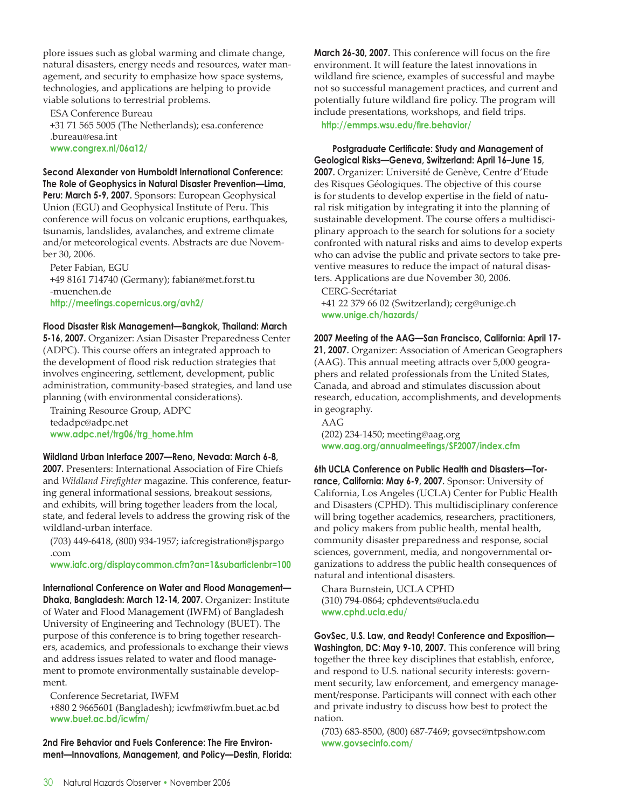plore issues such as global warming and climate change, natural disasters, energy needs and resources, water management, and security to emphasize how space systems, technologies, and applications are helping to provide viable solutions to terrestrial problems.

ESA Conference Bureau +31 71 565 5005 (The Netherlands); esa.conference .bureau@esa.int **www.congrex.nl/06a12/**

**Second Alexander von Humboldt International Conference: The Role of Geophysics in Natural Disaster Prevention—Lima,**  Peru: March 5-9, 2007. Sponsors: European Geophysical Union (EGU) and Geophysical Institute of Peru. This conference will focus on volcanic eruptions, earthquakes, tsunamis, landslides, avalanches, and extreme climate and/or meteorological events. Abstracts are due November 30, 2006.

Peter Fabian, EGU +49 8161 714740 (Germany); fabian@met.forst.tu -muenchen.de **http://meetings.copernicus.org/avh2/**

**Flood Disaster Risk Management—Bangkok, Thailand: March** 

**5-16, 2007.** Organizer: Asian Disaster Preparedness Center (ADPC). This course offers an integrated approach to the development of flood risk reduction strategies that involves engineering, settlement, development, public administration, community-based strategies, and land use planning (with environmental considerations).

Training Resource Group, ADPC tedadpc@adpc.net **www.adpc.net/trg06/trg\_home.htm**

#### **Wildland Urban Interface 2007—Reno, Nevada: March 6-8,**

**2007.** Presenters: International Association of Fire Chiefs and *Wildland Firefighter* magazine. This conference, featuring general informational sessions, breakout sessions, and exhibits, will bring together leaders from the local, state, and federal levels to address the growing risk of the wildland-urban interface.

(703) 449-6418, (800) 934-1957; iafcregistration@jspargo .com

**www.iafc.org/displaycommon.cfm?an=1&subarticlenbr=100**

**International Conference on Water and Flood Management— Dhaka, Bangladesh: March 12-14, 2007.** Organizer: Institute of Water and Flood Management (IWFM) of Bangladesh University of Engineering and Technology (BUET). The purpose of this conference is to bring together researchers, academics, and professionals to exchange their views and address issues related to water and flood management to promote environmentally sustainable development.

Conference Secretariat, IWFM

+880 2 9665601 (Bangladesh); icwfm@iwfm.buet.ac.bd **www.buet.ac.bd/icwfm/**

**2nd Fire Behavior and Fuels Conference: The Fire Environment—Innovations, Management, and Policy—Destin, Florida:**  **March 26-30, 2007.** This conference will focus on the fire environment. It will feature the latest innovations in wildland fire science, examples of successful and maybe not so successful management practices, and current and potentially future wildland fire policy. The program will include presentations, workshops, and field trips.

http://emmps.wsu.edu/fire.behavior/

**Postgraduate Certificate: Study and Management of Geological Risks—Geneva, Switzerland: April 16–June 15, 2007.** Organizer: Université de Genève, Centre d'Etude des Risques Géologiques. The objective of this course is for students to develop expertise in the field of natural risk mitigation by integrating it into the planning of sustainable development. The course offers a multidisciplinary approach to the search for solutions for a society confronted with natural risks and aims to develop experts who can advise the public and private sectors to take preventive measures to reduce the impact of natural disasters. Applications are due November 30, 2006.

CERG-Secrétariat +41 22 379 66 02 (Switzerland); cerg@unige.ch **www.unige.ch/hazards/**

**2007 Meeting of the AAG—San Francisco, California: April 17- 21, 2007.** Organizer: Association of American Geographers (AAG). This annual meeting attracts over 5,000 geographers and related professionals from the United States, Canada, and abroad and stimulates discussion about research, education, accomplishments, and developments in geography.

AAG (202) 234-1450; meeting@aag.org **www.aag.org/annualmeetings/SF2007/index.cfm**

**6th UCLA Conference on Public Health and Disasters—Torrance, California: May 6-9, 2007.** Sponsor: University of California, Los Angeles (UCLA) Center for Public Health and Disasters (CPHD). This multidisciplinary conference will bring together academics, researchers, practitioners, and policy makers from public health, mental health, community disaster preparedness and response, social sciences, government, media, and nongovernmental organizations to address the public health consequences of natural and intentional disasters.

Chara Burnstein, UCLA CPHD (310) 794-0864; cphdevents@ucla.edu **www.cphd.ucla.edu/**

**GovSec, U.S. Law, and Ready! Conference and Exposition— Washington, DC: May 9-10, 2007.** This conference will bring together the three key disciplines that establish, enforce, and respond to U.S. national security interests: government security, law enforcement, and emergency management/response. Participants will connect with each other and private industry to discuss how best to protect the nation.

(703) 683-8500, (800) 687-7469; govsec@ntpshow.com **www.govsecinfo.com/**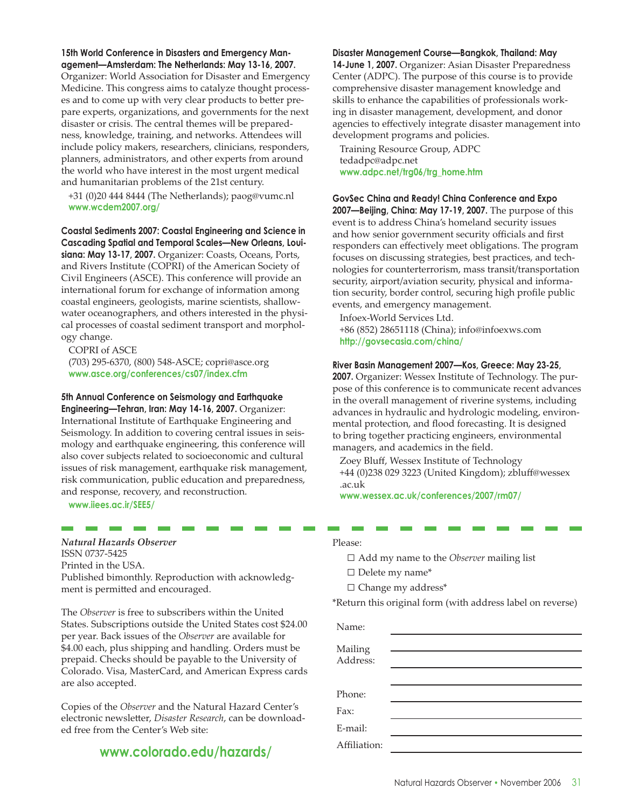**15th World Conference in Disasters and Emergency Management—Amsterdam: The Netherlands: May 13-16, 2007.**

Organizer: World Association for Disaster and Emergency Medicine. This congress aims to catalyze thought processes and to come up with very clear products to better prepare experts, organizations, and governments for the next disaster or crisis. The central themes will be preparedness, knowledge, training, and networks. Attendees will include policy makers, researchers, clinicians, responders, planners, administrators, and other experts from around the world who have interest in the most urgent medical and humanitarian problems of the 21st century.

+31 (0)20 444 8444 (The Netherlands); paog@vumc.nl **www.wcdem2007.org/**

**Coastal Sediments 2007: Coastal Engineering and Science in Cascading Spatial and Temporal Scales—New Orleans, Louisiana: May 13-17, 2007.** Organizer: Coasts, Oceans, Ports, and Rivers Institute (COPRI) of the American Society of Civil Engineers (ASCE). This conference will provide an international forum for exchange of information among coastal engineers, geologists, marine scientists, shallowwater oceanographers, and others interested in the physical processes of coastal sediment transport and morphology change.

COPRI of ASCE

(703) 295-6370, (800) 548-ASCE; copri@asce.org **www.asce.org/conferences/cs07/index.cfm**

#### **5th Annual Conference on Seismology and Earthquake**

**Engineering—Tehran, Iran: May 14-16, 2007.** Organizer: International Institute of Earthquake Engineering and Seismology. In addition to covering central issues in seismology and earthquake engineering, this conference will also cover subjects related to socioeconomic and cultural issues of risk management, earthquake risk management, risk communication, public education and preparedness, and response, recovery, and reconstruction.

**www.iiees.ac.ir/SEE5/**

#### *Natural Hazards Observer* ISSN 0737-5425 Printed in the USA. Published bimonthly. Reproduction with acknowledgment is permitted and encouraged.

The *Observer* is free to subscribers within the United States. Subscriptions outside the United States cost \$24.00 per year. Back issues of the *Observer* are available for \$4.00 each, plus shipping and handling. Orders must be prepaid. Checks should be payable to the University of Colorado. Visa, MasterCard, and American Express cards are also accepted.

Copies of the *Observer* and the Natural Hazard Center's electronic newsletter*, Disaster Research,* can be downloaded free from the Center's Web site:

# **www.colorado.edu/hazards/**

#### **Disaster Management Course—Bangkok, Thailand: May**

**14-June 1, 2007.** Organizer: Asian Disaster Preparedness Center (ADPC). The purpose of this course is to provide comprehensive disaster management knowledge and skills to enhance the capabilities of professionals working in disaster management, development, and donor agencies to effectively integrate disaster management into development programs and policies.

Training Resource Group, ADPC tedadpc@adpc.net **www.adpc.net/trg06/trg\_home.htm**

#### **GovSec China and Ready! China Conference and Expo**

**2007—Beijing, China: May 17-19, 2007.** The purpose of this event is to address China's homeland security issues and how senior government security officials and first responders can effectively meet obligations. The program focuses on discussing strategies, best practices, and technologies for counterterrorism, mass transit/transportation security, airport/aviation security, physical and information security, border control, securing high profile public events, and emergency management.

Infoex-World Services Ltd. +86 (852) 28651118 (China); info@infoexws.com **http://govsecasia.com/china/**

#### **River Basin Management 2007—Kos, Greece: May 23-25,**

**2007.** Organizer: Wessex Institute of Technology. The purpose of this conference is to communicate recent advances in the overall management of riverine systems, including advances in hydraulic and hydrologic modeling, environmental protection, and flood forecasting. It is designed to bring together practicing engineers, environmental managers, and academics in the field.

Zoey Bluff, Wessex Institute of Technology +44 (0)238 029 3223 (United Kingdom); zbluff@wessex .ac.uk

**www.wessex.ac.uk/conferences/2007/rm07/**

#### Please:

- G Add my name to the *Observer* mailing list
- $\Box$  Delete my name\*
- $\Box$  Change my address\*

\*Return this original form (with address label on reverse)

| Name:               |  |
|---------------------|--|
| Mailing<br>Address: |  |
|                     |  |
| Phone:              |  |
| Fax:                |  |
| E-mail:             |  |
| Affiliation:        |  |
|                     |  |